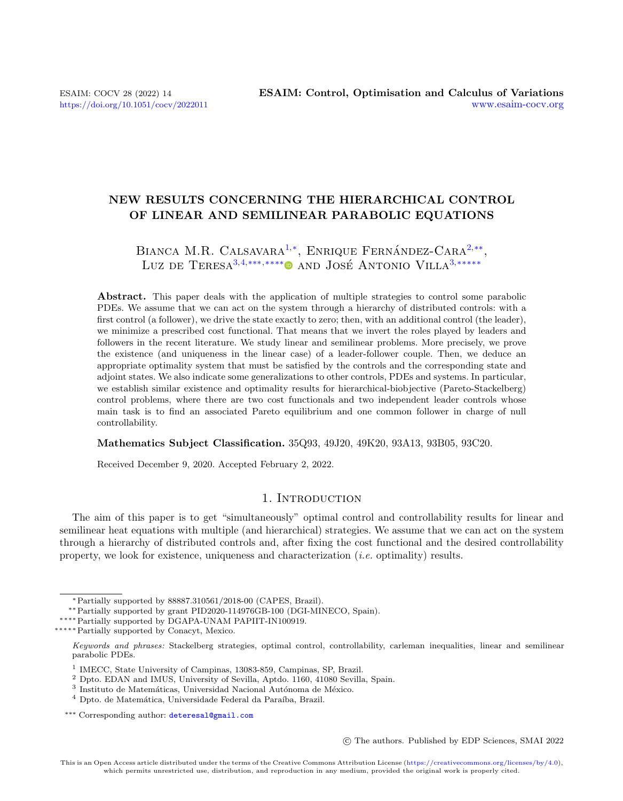# NEW RESULTS CONCERNING THE HIERARCHICAL CONTROL OF LINEAR AND SEMILINEAR PARABOLIC EQUATIONS

# BIANCA M.R. CALSAVARA<sup>[1,](#page-0-0)\*</sup>, ENRIQUE FERNÁNDEZ-CARA<sup>[2,](#page-0-1)\*\*</sup>, Luz de Teresa<sup>[3,](#page-0-2)[4,](#page-0-3)</sup>\*\*\*,\*\*\*\*<sup>●</sup> and José Antonio Villa<sup>3,\*\*\*\*\*</sup>

Abstract. This paper deals with the application of multiple strategies to control some parabolic PDEs. We assume that we can act on the system through a hierarchy of distributed controls: with a first control (a follower), we drive the state exactly to zero; then, with an additional control (the leader), we minimize a prescribed cost functional. That means that we invert the roles played by leaders and followers in the recent literature. We study linear and semilinear problems. More precisely, we prove the existence (and uniqueness in the linear case) of a leader-follower couple. Then, we deduce an appropriate optimality system that must be satisfied by the controls and the corresponding state and adjoint states. We also indicate some generalizations to other controls, PDEs and systems. In particular, we establish similar existence and optimality results for hierarchical-biobjective (Pareto-Stackelberg) control problems, where there are two cost functionals and two independent leader controls whose main task is to find an associated Pareto equilibrium and one common follower in charge of null controllability.

Mathematics Subject Classification. 35Q93, 49J20, 49K20, 93A13, 93B05, 93C20.

Received December 9, 2020. Accepted February 2, 2022.

# 1. INTRODUCTION

The aim of this paper is to get "simultaneously" optimal control and controllability results for linear and semilinear heat equations with multiple (and hierarchical) strategies. We assume that we can act on the system through a hierarchy of distributed controls and, after fixing the cost functional and the desired controllability property, we look for existence, uniqueness and characterization (i.e. optimality) results.

∗∗∗∗∗Partially supported by Conacyt, Mexico.

c The authors. Published by EDP Sciences, SMAI 2022

<sup>∗</sup>Partially supported by 88887.310561/2018-00 (CAPES, Brazil).

<sup>∗∗</sup>Partially supported by grant PID2020-114976GB-100 (DGI-MINECO, Spain).

<sup>∗∗∗∗</sup>Partially supported by DGAPA-UNAM PAPIIT-IN100919.

<span id="page-0-4"></span>Keywords and phrases: Stackelberg strategies, optimal control, controllability, carleman inequalities, linear and semilinear parabolic PDEs.

<span id="page-0-0"></span><sup>&</sup>lt;sup>1</sup> IMECC, State University of Campinas, 13083-859, Campinas, SP, Brazil.

<span id="page-0-1"></span><sup>2</sup> Dpto. EDAN and IMUS, University of Sevilla, Aptdo. 1160, 41080 Sevilla, Spain.

<span id="page-0-2"></span><sup>&</sup>lt;sup>3</sup> Instituto de Matemáticas, Universidad Nacional Autónoma de México.

<span id="page-0-3"></span><sup>&</sup>lt;sup>4</sup> Dpto. de Matemática, Universidade Federal da Paraíba, Brazil.

<sup>\*\*\*</sup> Corresponding author: [deteresal@gmail.com](mailto:deteresal@gmail.com)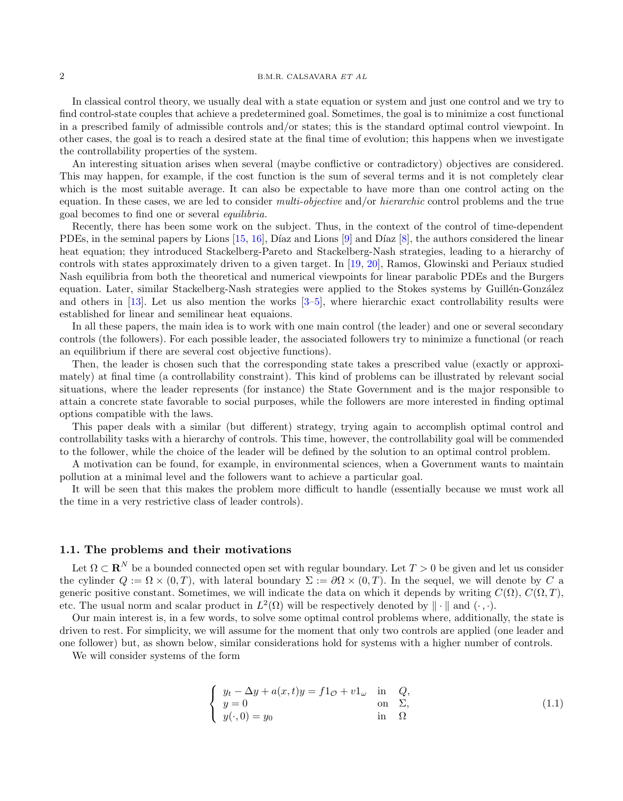In classical control theory, we usually deal with a state equation or system and just one control and we try to find control-state couples that achieve a predetermined goal. Sometimes, the goal is to minimize a cost functional in a prescribed family of admissible controls and/or states; this is the standard optimal control viewpoint. In other cases, the goal is to reach a desired state at the final time of evolution; this happens when we investigate the controllability properties of the system.

An interesting situation arises when several (maybe conflictive or contradictory) objectives are considered. This may happen, for example, if the cost function is the sum of several terms and it is not completely clear which is the most suitable average. It can also be expectable to have more than one control acting on the equation. In these cases, we are led to consider *multi-objective* and/or *hierarchic* control problems and the true goal becomes to find one or several equilibria.

Recently, there has been some work on the subject. Thus, in the context of the control of time-dependent PDEs, in the seminal papers by Lions  $[15, 16]$  $[15, 16]$ , Díaz and Lions  $[9]$  and Díaz  $[8]$ , the authors considered the linear heat equation; they introduced Stackelberg-Pareto and Stackelberg-Nash strategies, leading to a hierarchy of controls with states approximately driven to a given target. In [\[19,](#page-24-4) [20\]](#page-24-5), Ramos, Glowinski and Periaux studied Nash equilibria from both the theoretical and numerical viewpoints for linear parabolic PDEs and the Burgers equation. Later, similar Stackelberg-Nash strategies were applied to the Stokes systems by Guillén-González and others in [\[13\]](#page-24-6). Let us also mention the works [\[3–](#page-24-7)[5\]](#page-24-8), where hierarchic exact controllability results were established for linear and semilinear heat equaions.

In all these papers, the main idea is to work with one main control (the leader) and one or several secondary controls (the followers). For each possible leader, the associated followers try to minimize a functional (or reach an equilibrium if there are several cost objective functions).

Then, the leader is chosen such that the corresponding state takes a prescribed value (exactly or approximately) at final time (a controllability constraint). This kind of problems can be illustrated by relevant social situations, where the leader represents (for instance) the State Government and is the major responsible to attain a concrete state favorable to social purposes, while the followers are more interested in finding optimal options compatible with the laws.

This paper deals with a similar (but different) strategy, trying again to accomplish optimal control and controllability tasks with a hierarchy of controls. This time, however, the controllability goal will be commended to the follower, while the choice of the leader will be defined by the solution to an optimal control problem.

A motivation can be found, for example, in environmental sciences, when a Government wants to maintain pollution at a minimal level and the followers want to achieve a particular goal.

It will be seen that this makes the problem more difficult to handle (essentially because we must work all the time in a very restrictive class of leader controls).

#### 1.1. The problems and their motivations

Let  $\Omega \subset \mathbf{R}^N$  be a bounded connected open set with regular boundary. Let  $T > 0$  be given and let us consider the cylinder  $Q := \Omega \times (0,T)$ , with lateral boundary  $\Sigma := \partial \Omega \times (0,T)$ . In the sequel, we will denote by C a generic positive constant. Sometimes, we will indicate the data on which it depends by writing  $C(\Omega)$ ,  $C(\Omega, T)$ , etc. The usual norm and scalar product in  $L^2(\Omega)$  will be respectively denoted by  $\|\cdot\|$  and  $(\cdot, \cdot)$ .

Our main interest is, in a few words, to solve some optimal control problems where, additionally, the state is driven to rest. For simplicity, we will assume for the moment that only two controls are applied (one leader and one follower) but, as shown below, similar considerations hold for systems with a higher number of controls.

We will consider systems of the form

<span id="page-1-0"></span>
$$
\begin{cases}\n y_t - \Delta y + a(x, t)y = f1_{\mathcal{O}} + v1_{\omega} & \text{in} \quad Q, \\
 y = 0 & \text{on} \quad \Sigma, \\
 y(\cdot, 0) = y_0 & \text{in} \quad \Omega\n\end{cases}
$$
\n(1.1)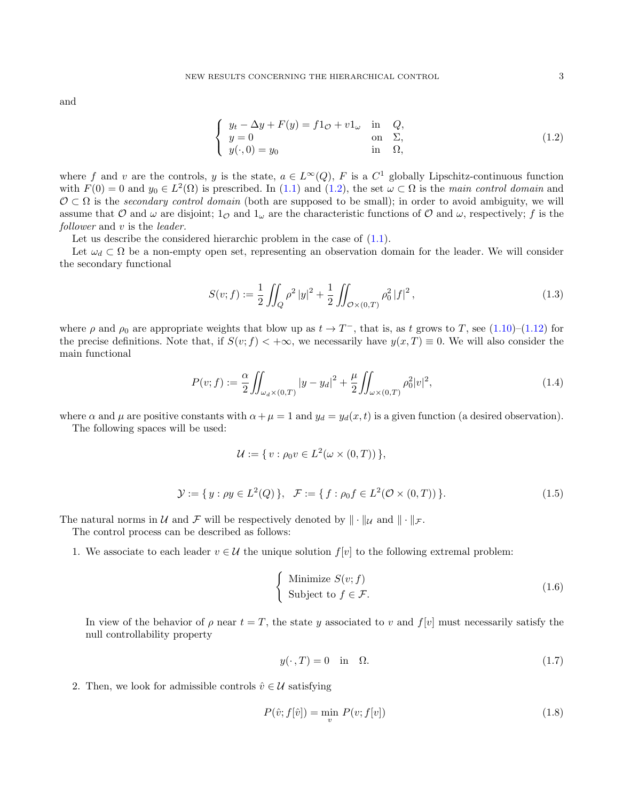and

<span id="page-2-0"></span>
$$
\begin{cases}\n y_t - \Delta y + F(y) = f1_{\mathcal{O}} + v1_{\omega} & \text{in} \quad Q, \\
 y = 0 & \text{on} \quad \Sigma, \\
 y(\cdot, 0) = y_0 & \text{in} \quad \Omega,\n\end{cases}
$$
\n(1.2)

where f and v are the controls, y is the state,  $a \in L^{\infty}(Q)$ , F is a  $C^1$  globally Lipschitz-continuous function with  $F(0) = 0$  and  $y_0 \in L^2(\Omega)$  is prescribed. In [\(1.1\)](#page-1-0) and [\(1.2\)](#page-2-0), the set  $\omega \subset \Omega$  is the main control domain and  $\mathcal{O} \subset \Omega$  is the secondary control domain (both are supposed to be small); in order to avoid ambiguity, we will assume that O and  $\omega$  are disjoint;  $1_{\mathcal{O}}$  and  $1_{\omega}$  are the characteristic functions of O and  $\omega$ , respectively; f is the follower and v is the *leader*.

Let us describe the considered hierarchic problem in the case of  $(1.1)$ .

Let  $\omega_d \subset \Omega$  be a non-empty open set, representing an observation domain for the leader. We will consider the secondary functional

<span id="page-2-4"></span>
$$
S(v; f) := \frac{1}{2} \iint_Q \rho^2 |y|^2 + \frac{1}{2} \iint_{\mathcal{O} \times (0,T)} \rho_0^2 |f|^2,
$$
\n(1.3)

where  $\rho$  and  $\rho_0$  are appropriate weights that blow up as  $t \to T^-$ , that is, as t grows to T, see [\(1.10\)](#page-4-0)–[\(1.12\)](#page-4-1) for the precise definitions. Note that, if  $S(v; f) < +\infty$ , we necessarily have  $y(x,T) \equiv 0$ . We will also consider the main functional

<span id="page-2-5"></span>
$$
P(v; f) := \frac{\alpha}{2} \iint_{\omega_d \times (0,T)} |y - y_d|^2 + \frac{\mu}{2} \iint_{\omega \times (0,T)} \rho_0^2 |v|^2,
$$
\n(1.4)

where  $\alpha$  and  $\mu$  are positive constants with  $\alpha + \mu = 1$  and  $y_d = y_d(x, t)$  is a given function (a desired observation).

The following spaces will be used:

$$
\mathcal{U} := \{ v : \rho_0 v \in L^2(\omega \times (0,T)) \},
$$

<span id="page-2-6"></span>
$$
\mathcal{Y} := \{ y : \rho y \in L^2(Q) \}, \quad \mathcal{F} := \{ f : \rho_0 f \in L^2(\mathcal{O} \times (0, T)) \}. \tag{1.5}
$$

The natural norms in U and F will be respectively denoted by  $\|\cdot\|_{\mathcal{U}}$  and  $\|\cdot\|_{\mathcal{F}}$ .

The control process can be described as follows:

1. We associate to each leader  $v \in \mathcal{U}$  the unique solution  $f[v]$  to the following extremal problem:

<span id="page-2-1"></span>
$$
\begin{cases}\n\text{Minimize } S(v; f) \\
\text{Subject to } f \in \mathcal{F}.\n\end{cases} \tag{1.6}
$$

In view of the behavior of  $\rho$  near  $t = T$ , the state y associated to v and  $f[v]$  must necessarily satisfy the null controllability property

<span id="page-2-3"></span>
$$
y(\cdot, T) = 0 \quad \text{in} \quad \Omega. \tag{1.7}
$$

2. Then, we look for admissible controls  $\hat{v} \in \mathcal{U}$  satisfying

<span id="page-2-2"></span>
$$
P(\hat{v}; f[\hat{v}]) = \min_{v} P(v; f[v])
$$
\n
$$
(1.8)
$$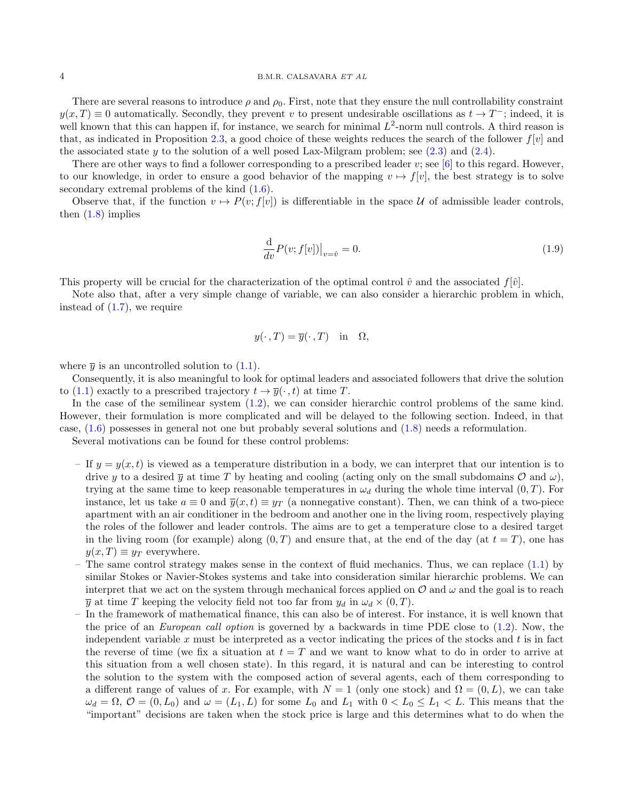#### 4 B.M.R. CALSAVARA ET AL

There are several reasons to introduce  $\rho$  and  $\rho_0$ . First, note that they ensure the null controllability constraint  $y(x,T) \equiv 0$  automatically. Secondly, they prevent v to present undesirable oscillations as  $t \to T^-$ ; indeed, it is well known that this can happen if, for instance, we search for minimal  $L^2$ -norm null controls. A third reason is that, as indicated in Proposition [2.3,](#page-6-0) a good choice of these weights reduces the search of the follower  $f[y]$  and the associated state y to the solution of a well posed Lax-Milgram problem; see  $(2.3)$  and  $(2.4)$ .

There are other ways to find a follower corresponding to a prescribed leader  $v$ ; see [\[6\]](#page-24-9) to this regard. However, to our knowledge, in order to ensure a good behavior of the mapping  $v \mapsto f[v]$ , the best strategy is to solve secondary extremal problems of the kind [\(1.6\)](#page-2-1).

Observe that, if the function  $v \mapsto P(v; f[v])$  is differentiable in the space U of admissible leader controls, then  $(1.8)$  implies

$$
\frac{\mathrm{d}}{\mathrm{d}v}P(v;f[v])\big|_{v=\hat{v}}=0.\tag{1.9}
$$

This property will be crucial for the characterization of the optimal control  $\hat{v}$  and the associated  $f[\hat{v}]$ .

Note also that, after a very simple change of variable, we can also consider a hierarchic problem in which, instead of [\(1.7\)](#page-2-3), we require

$$
y(\cdot, T) = \overline{y}(\cdot, T) \quad \text{in} \quad \Omega,
$$

where  $\bar{y}$  is an uncontrolled solution to [\(1.1\)](#page-1-0).

Consequently, it is also meaningful to look for optimal leaders and associated followers that drive the solution to [\(1.1\)](#page-1-0) exactly to a prescribed trajectory  $t \to \overline{y}(\cdot, t)$  at time T.

In the case of the semilinear system [\(1.2\)](#page-2-0), we can consider hierarchic control problems of the same kind. However, their formulation is more complicated and will be delayed to the following section. Indeed, in that case, [\(1.6\)](#page-2-1) possesses in general not one but probably several solutions and [\(1.8\)](#page-2-2) needs a reformulation.

Several motivations can be found for these control problems:

- If  $y = y(x, t)$  is viewed as a temperature distribution in a body, we can interpret that our intention is to drive y to a desired  $\bar{y}$  at time T by heating and cooling (acting only on the small subdomains  $\mathcal{O}$  and  $\omega$ ), trying at the same time to keep reasonable temperatures in  $\omega_d$  during the whole time interval  $(0, T)$ . For instance, let us take  $a \equiv 0$  and  $\overline{y}(x,t) \equiv y_T$  (a nonnegative constant). Then, we can think of a two-piece apartment with an air conditioner in the bedroom and another one in the living room, respectively playing the roles of the follower and leader controls. The aims are to get a temperature close to a desired target in the living room (for example) along  $(0, T)$  and ensure that, at the end of the day (at  $t = T$ ), one has  $y(x,T) \equiv y_T$  everywhere.
- The same control strategy makes sense in the context of fluid mechanics. Thus, we can replace [\(1.1\)](#page-1-0) by similar Stokes or Navier-Stokes systems and take into consideration similar hierarchic problems. We can interpret that we act on the system through mechanical forces applied on  $\mathcal O$  and  $\omega$  and the goal is to reach  $\overline{y}$  at time T keeping the velocity field not too far from  $y_d$  in  $\omega_d \times (0,T)$ .
- In the framework of mathematical finance, this can also be of interest. For instance, it is well known that the price of an European call option is governed by a backwards in time PDE close to [\(1.2\)](#page-2-0). Now, the independent variable  $x$  must be interpreted as a vector indicating the prices of the stocks and  $t$  is in fact the reverse of time (we fix a situation at  $t = T$  and we want to know what to do in order to arrive at this situation from a well chosen state). In this regard, it is natural and can be interesting to control the solution to the system with the composed action of several agents, each of them corresponding to a different range of values of x. For example, with  $N = 1$  (only one stock) and  $\Omega = (0, L)$ , we can take  $\omega_d = \Omega$ ,  $\mathcal{O} = (0, L_0)$  and  $\omega = (L_1, L)$  for some  $L_0$  and  $L_1$  with  $0 < L_0 \le L_1 < L$ . This means that the "important" decisions are taken when the stock price is large and this determines what to do when the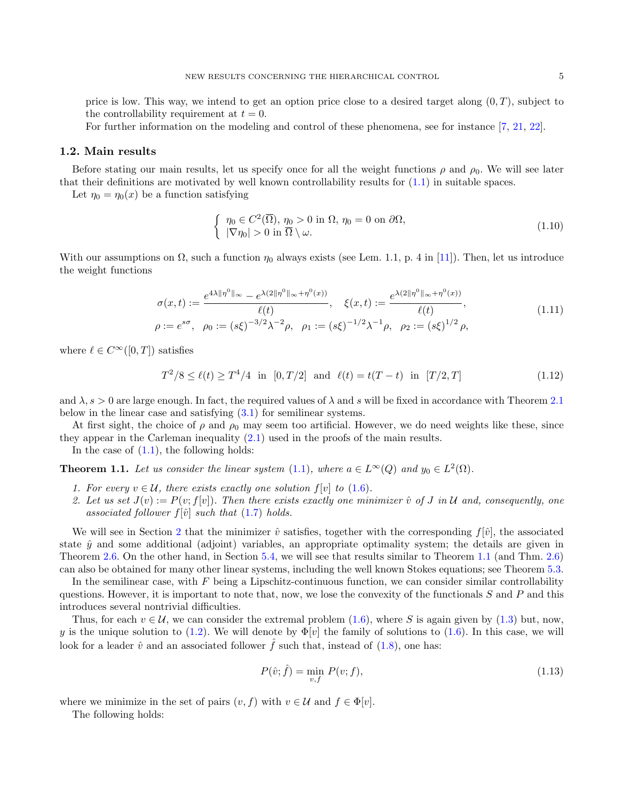price is low. This way, we intend to get an option price close to a desired target along  $(0, T)$ , subject to the controllability requirement at  $t = 0$ .

For further information on the modeling and control of these phenomena, see for instance [\[7,](#page-24-10) [21,](#page-24-11) [22\]](#page-25-0).

#### 1.2. Main results

Before stating our main results, let us specify once for all the weight functions  $\rho$  and  $\rho_0$ . We will see later that their definitions are motivated by well known controllability results for [\(1.1\)](#page-1-0) in suitable spaces.

Let  $\eta_0 = \eta_0(x)$  be a function satisfying

<span id="page-4-0"></span>
$$
\begin{cases} \eta_0 \in C^2(\overline{\Omega}), \eta_0 > 0 \text{ in } \Omega, \eta_0 = 0 \text{ on } \partial\Omega, \\ |\nabla \eta_0| > 0 \text{ in } \overline{\Omega} \setminus \omega. \end{cases}
$$
\n(1.10)

With our assumptions on  $\Omega$ , such a function  $\eta_0$  always exists (see Lem. 1.1, p. 4 in [\[11\]](#page-24-12)). Then, let us introduce the weight functions

<span id="page-4-4"></span>
$$
\sigma(x,t) := \frac{e^{4\lambda \|\eta^0\|_{\infty}} - e^{\lambda(2\|\eta^0\|_{\infty} + \eta^0(x))}}{\ell(t)}, \quad \xi(x,t) := \frac{e^{\lambda(2\|\eta^0\|_{\infty} + \eta^0(x))}}{\ell(t)},
$$
\n
$$
\rho := e^{s\sigma}, \quad \rho_0 := (s\xi)^{-3/2}\lambda^{-2}\rho, \quad \rho_1 := (s\xi)^{-1/2}\lambda^{-1}\rho, \quad \rho_2 := (s\xi)^{1/2}\rho,
$$
\n(1.11)

where  $\ell \in C^{\infty}([0, T])$  satisfies

<span id="page-4-1"></span>
$$
T^2/8 \le \ell(t) \ge T^4/4 \text{ in } [0, T/2] \text{ and } \ell(t) = t(T - t) \text{ in } [T/2, T]
$$
 (1.12)

and  $\lambda$ ,  $s > 0$  are large enough. In fact, the required values of  $\lambda$  and s will be fixed in accordance with Theorem [2.1](#page-6-3) below in the linear case and satisfying [\(3.1\)](#page-9-0) for semilinear systems.

At first sight, the choice of  $\rho$  and  $\rho_0$  may seem too artificial. However, we do need weights like these, since they appear in the Carleman inequality [\(2.1\)](#page-6-4) used in the proofs of the main results.

In the case of  $(1.1)$ , the following holds:

<span id="page-4-2"></span>**Theorem 1.1.** Let us consider the linear system [\(1.1\)](#page-1-0), where  $a \in L^{\infty}(Q)$  and  $y_0 \in L^2(\Omega)$ .

- 1. For every  $v \in \mathcal{U}$ , there exists exactly one solution  $f[v]$  to  $(1.6)$ .
- 2. Let us set  $J(v) := P(v; f[v])$ . Then there exists exactly one minimizer  $\hat{v}$  of J in U and, consequently, one associated follower  $f[\hat{v}]$  such that [\(1.7\)](#page-2-3) holds.

We will see in Section [2](#page-5-0) that the minimizer  $\hat{v}$  satisfies, together with the corresponding  $f[\hat{v}]$ , the associated state  $\hat{y}$  and some additional (adjoint) variables, an appropriate optimality system; the details are given in Theorem [2.6.](#page-7-0) On the other hand, in Section [5.4,](#page-22-0) we will see that results similar to Theorem [1.1](#page-4-2) (and Thm. [2.6\)](#page-7-0) can also be obtained for many other linear systems, including the well known Stokes equations; see Theorem [5.3.](#page-23-0)

In the semilinear case, with  $F$  being a Lipschitz-continuous function, we can consider similar controllability questions. However, it is important to note that, now, we lose the convexity of the functionals  $S$  and  $P$  and this introduces several nontrivial difficulties.

Thus, for each  $v \in \mathcal{U}$ , we can consider the extremal problem [\(1.6\)](#page-2-1), where S is again given by [\(1.3\)](#page-2-4) but, now, y is the unique solution to [\(1.2\)](#page-2-0). We will denote by  $\Phi[v]$  the family of solutions to [\(1.6\)](#page-2-1). In this case, we will look for a leader  $\hat{v}$  and an associated follower  $\hat{f}$  such that, instead of [\(1.8\)](#page-2-2), one has:

<span id="page-4-3"></span>
$$
P(\hat{v};\hat{f}) = \min_{v,f} P(v;f),\tag{1.13}
$$

where we minimize in the set of pairs  $(v, f)$  with  $v \in \mathcal{U}$  and  $f \in \Phi[v]$ .

The following holds: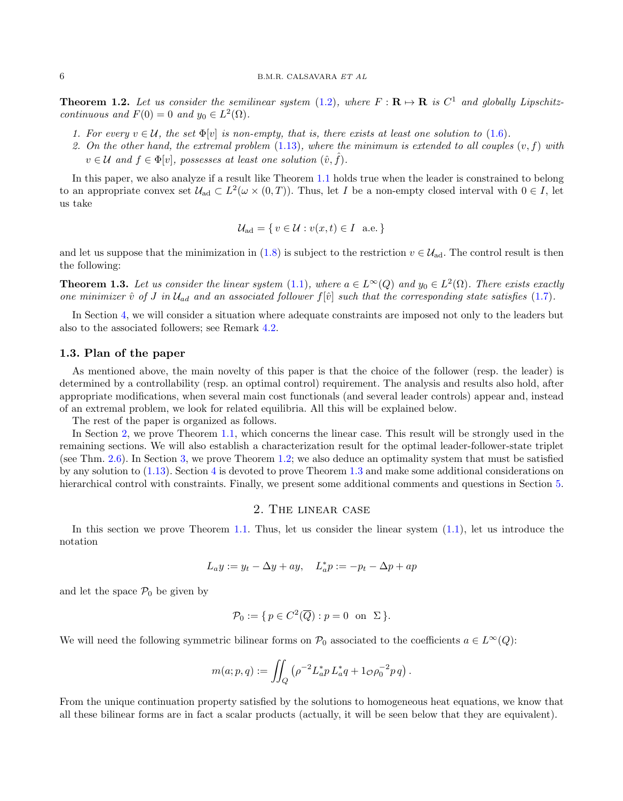<span id="page-5-1"></span>**Theorem 1.2.** Let us consider the semilinear system [\(1.2\)](#page-2-0), where  $F : \mathbf{R} \mapsto \mathbf{R}$  is  $C^1$  and globally Lipschitzcontinuous and  $F(0) = 0$  and  $y_0 \in L^2(\Omega)$ .

- 1. For every  $v \in \mathcal{U}$ , the set  $\Phi[v]$  is non-empty, that is, there exists at least one solution to [\(1.6\)](#page-2-1).
- 2. On the other hand, the extremal problem  $(1.13)$ , where the minimum is extended to all couples  $(v, f)$  with  $v \in \mathcal{U}$  and  $f \in \Phi[v]$ , possesses at least one solution  $(\hat{v}, \hat{f})$ .

In this paper, we also analyze if a result like Theorem [1.1](#page-4-2) holds true when the leader is constrained to belong to an appropriate convex set  $\mathcal{U}_{ad} \subset L^2(\omega \times (0,T))$ . Thus, let I be a non-empty closed interval with  $0 \in I$ , let us take

$$
\mathcal{U}_{\text{ad}} = \{ v \in \mathcal{U} : v(x, t) \in I \text{ a.e.} \}
$$

and let us suppose that the minimization in [\(1.8\)](#page-2-2) is subject to the restriction  $v \in \mathcal{U}_{ad}$ . The control result is then the following:

<span id="page-5-2"></span>**Theorem 1.3.** Let us consider the linear system [\(1.1\)](#page-1-0), where  $a \in L^{\infty}(Q)$  and  $y_0 \in L^2(\Omega)$ . There exists exactly one minimizer  $\hat{v}$  of J in  $\mathcal{U}_{ad}$  and an associated follower  $f[\hat{v}]$  such that the corresponding state satisfies [\(1.7\)](#page-2-3).

In Section [4,](#page-16-0) we will consider a situation where adequate constraints are imposed not only to the leaders but also to the associated followers; see Remark [4.2.](#page-16-1)

# 1.3. Plan of the paper

As mentioned above, the main novelty of this paper is that the choice of the follower (resp. the leader) is determined by a controllability (resp. an optimal control) requirement. The analysis and results also hold, after appropriate modifications, when several main cost functionals (and several leader controls) appear and, instead of an extremal problem, we look for related equilibria. All this will be explained below.

The rest of the paper is organized as follows.

In Section [2,](#page-5-0) we prove Theorem [1.1,](#page-4-2) which concerns the linear case. This result will be strongly used in the remaining sections. We will also establish a characterization result for the optimal leader-follower-state triplet (see Thm. [2.6\)](#page-7-0). In Section [3,](#page-9-1) we prove Theorem [1.2;](#page-5-1) we also deduce an optimality system that must be satisfied by any solution to [\(1.13\)](#page-4-3). Section [4](#page-16-0) is devoted to prove Theorem [1.3](#page-5-2) and make some additional considerations on hierarchical control with constraints. Finally, we present some additional comments and questions in Section [5.](#page-16-2)

## 2. The linear case

<span id="page-5-0"></span>In this section we prove Theorem [1.1.](#page-4-2) Thus, let us consider the linear system  $(1.1)$ , let us introduce the notation

$$
L_ay := y_t - \Delta y + ay, \quad L_a^*p := -p_t - \Delta p + ap
$$

and let the space  $\mathcal{P}_0$  be given by

$$
\mathcal{P}_0 := \{ p \in C^2(\overline{Q}) : p = 0 \text{ on } \Sigma \}.
$$

We will need the following symmetric bilinear forms on  $\mathcal{P}_0$  associated to the coefficients  $a \in L^{\infty}(Q)$ :

$$
m(a; p, q) := \iint_Q \left( \rho^{-2} L_a^* p L_a^* q + 1_{\mathcal{O}} \rho_0^{-2} p q \right).
$$

From the unique continuation property satisfied by the solutions to homogeneous heat equations, we know that all these bilinear forms are in fact a scalar products (actually, it will be seen below that they are equivalent).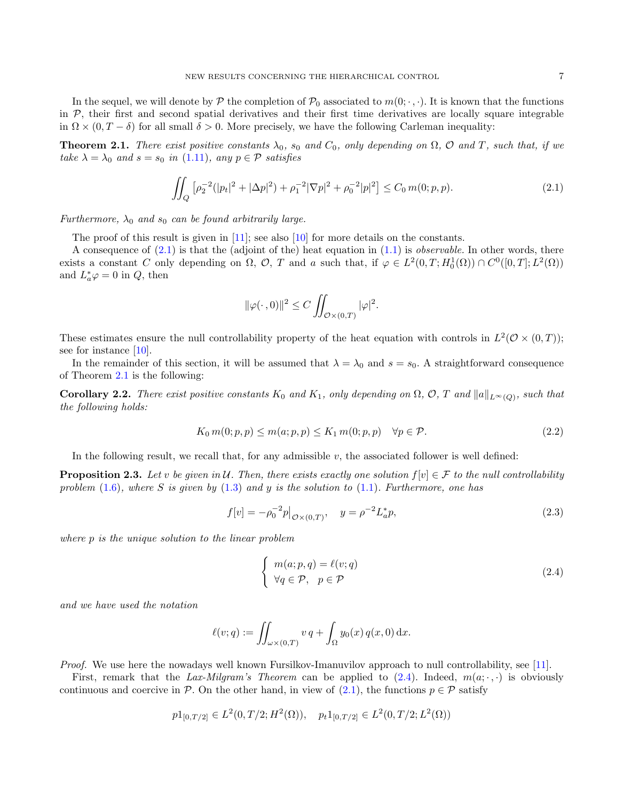In the sequel, we will denote by P the completion of  $\mathcal{P}_0$  associated to  $m(0;\cdot,\cdot)$ . It is known that the functions in  $P$ , their first and second spatial derivatives and their first time derivatives are locally square integrable in  $\Omega \times (0, T - \delta)$  for all small  $\delta > 0$ . More precisely, we have the following Carleman inequality:

<span id="page-6-3"></span>**Theorem 2.1.** There exist positive constants  $\lambda_0$ , s<sub>0</sub> and  $C_0$ , only depending on  $\Omega$ ,  $\mathcal{O}$  and T, such that, if we take  $\lambda = \lambda_0$  and  $s = s_0$  in [\(1.11\)](#page-4-4), any  $p \in \mathcal{P}$  satisfies

<span id="page-6-4"></span>
$$
\iint_{Q} \left[ \rho_2^{-2} (|p_t|^2 + |\Delta p|^2) + \rho_1^{-2} |\nabla p|^2 + \rho_0^{-2} |p|^2 \right] \le C_0 \, m(0; p, p). \tag{2.1}
$$

Furthermore,  $\lambda_0$  and  $s_0$  can be found arbitrarily large.

The proof of this result is given in [\[11\]](#page-24-12); see also [\[10\]](#page-24-13) for more details on the constants.

A consequence of  $(2.1)$  is that the (adjoint of the) heat equation in  $(1.1)$  is *observable*. In other words, there exists a constant C only depending on  $\Omega$ ,  $\mathcal{O}$ , T and a such that, if  $\varphi \in L^2(0,T;H_0^1(\Omega)) \cap C^0([0,T];L^2(\Omega))$ and  $L^*_{a}\varphi = 0$  in  $Q$ , then

$$
\|\varphi(\cdot\,,0)\|^2 \le C \iint_{\mathcal{O}\times(0,T)} |\varphi|^2.
$$

These estimates ensure the null controllability property of the heat equation with controls in  $L^2(\mathcal{O}\times(0,T));$ see for instance [\[10\]](#page-24-13).

In the remainder of this section, it will be assumed that  $\lambda = \lambda_0$  and  $s = s_0$ . A straightforward consequence of Theorem [2.1](#page-6-3) is the following:

**Corollary 2.2.** There exist positive constants  $K_0$  and  $K_1$ , only depending on  $\Omega$ ,  $\mathcal{O}$ ,  $T$  and  $||a||_{L^{\infty}(Q)}$ , such that the following holds:

<span id="page-6-5"></span>
$$
K_0 m(0; p, p) \le m(a; p, p) \le K_1 m(0; p, p) \quad \forall p \in \mathcal{P}.
$$
\n
$$
(2.2)
$$

In the following result, we recall that, for any admissible v, the associated follower is well defined:

<span id="page-6-0"></span>**Proposition 2.3.** Let v be given in U. Then, there exists exactly one solution  $f[v] \in \mathcal{F}$  to the null controllability problem [\(1.6\)](#page-2-1), where S is given by [\(1.3\)](#page-2-4) and y is the solution to [\(1.1\)](#page-1-0). Furthermore, one has

<span id="page-6-1"></span>
$$
f[v] = -\rho_0^{-2} p|_{\mathcal{O} \times (0,T)}, \quad y = \rho^{-2} L_a^* p,\tag{2.3}
$$

where p is the unique solution to the linear problem

<span id="page-6-2"></span>
$$
\begin{cases}\n m(a; p, q) = \ell(v; q) \\
 \forall q \in \mathcal{P}, \quad p \in \mathcal{P}\n\end{cases}
$$
\n(2.4)

and we have used the notation

$$
\ell(v;q) := \iint_{\omega \times (0,T)} v q + \int_{\Omega} y_0(x) q(x,0) dx.
$$

Proof. We use here the nowadays well known Fursilkov-Imanuvilov approach to null controllability, see [\[11\]](#page-24-12).

First, remark that the Lax-Milgram's Theorem can be applied to  $(2.4)$ . Indeed,  $m(a; \cdot, \cdot)$  is obviously continuous and coercive in P. On the other hand, in view of [\(2.1\)](#page-6-4), the functions  $p \in \mathcal{P}$  satisfy

$$
p1_{[0,T/2]} \in L^2(0,T/2;H^2(\Omega)), \quad p_t1_{[0,T/2]} \in L^2(0,T/2;L^2(\Omega))
$$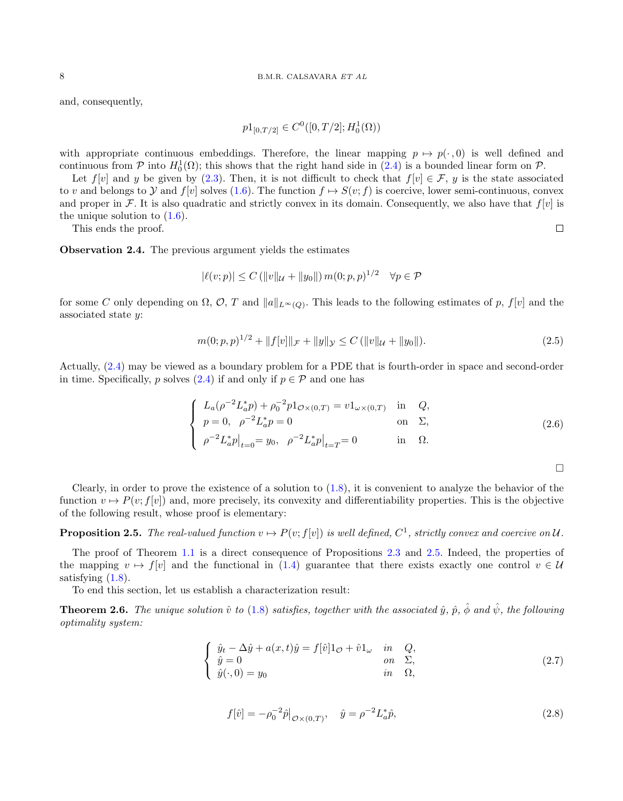and, consequently,

$$
p1_{[0,T/2]} \in C^0([0,T/2];H_0^1(\Omega))
$$

with appropriate continuous embeddings. Therefore, the linear mapping  $p \mapsto p(\cdot, 0)$  is well defined and continuous from  $P$  into  $H_0^1(\Omega)$ ; this shows that the right hand side in  $(2.4)$  is a bounded linear form on  $P$ .

Let  $f[v]$  and y be given by [\(2.3\)](#page-6-1). Then, it is not difficult to check that  $f[v] \in \mathcal{F}$ , y is the state associated to v and belongs to Y and  $f[v]$  solves [\(1.6\)](#page-2-1). The function  $f \mapsto S(v; f)$  is coercive, lower semi-continuous, convex and proper in F. It is also quadratic and strictly convex in its domain. Consequently, we also have that  $f[v]$  is the unique solution to  $(1.6)$ .

This ends the proof.

Observation 2.4. The previous argument yields the estimates

$$
|\ell(v; p)| \le C (||v||_{\mathcal{U}} + ||y_0||) m(0; p, p)^{1/2} \quad \forall p \in \mathcal{P}
$$

for some C only depending on  $\Omega$ ,  $\mathcal{O}$ , T and  $||a||_{L^{\infty}(Q)}$ . This leads to the following estimates of p,  $f[v]$  and the associated state y:

<span id="page-7-3"></span>
$$
m(0;p,p)^{1/2} + \|f[v]\|_{\mathcal{F}} + \|y\|_{\mathcal{Y}} \le C \left( \|v\|_{\mathcal{U}} + \|y_0\| \right). \tag{2.5}
$$

Actually, [\(2.4\)](#page-6-2) may be viewed as a boundary problem for a PDE that is fourth-order in space and second-order in time. Specifically, p solves [\(2.4\)](#page-6-2) if and only if  $p \in \mathcal{P}$  and one has

$$
\begin{cases}\nL_a(\rho^{-2}L_a^*p) + \rho_0^{-2}p1_{\mathcal{O}\times(0,T)} = v1_{\omega\times(0,T)} & \text{in} \quad Q, \\
p = 0, \quad \rho^{-2}L_a^*p = 0 & \text{on} \quad \Sigma, \\
\rho^{-2}L_a^*p|_{t=0} = y_0, \quad \rho^{-2}L_a^*p|_{t=T} = 0 & \text{in} \quad \Omega.\n\end{cases}
$$
\n(2.6)

 $\Box$ 

 $\Box$ 

Clearly, in order to prove the existence of a solution to  $(1.8)$ , it is convenient to analyze the behavior of the function  $v \mapsto P(v; f[v])$  and, more precisely, its convexity and differentiability properties. This is the objective of the following result, whose proof is elementary:

<span id="page-7-1"></span>**Proposition 2.5.** The real-valued function  $v \mapsto P(v; f[v])$  is well defined,  $C^1$ , strictly convex and coercive on U.

The proof of Theorem [1.1](#page-4-2) is a direct consequence of Propositions [2.3](#page-6-0) and [2.5.](#page-7-1) Indeed, the properties of the mapping  $v \mapsto f[v]$  and the functional in [\(1.4\)](#page-2-5) guarantee that there exists exactly one control  $v \in \mathcal{U}$ satisfying  $(1.8)$ .

To end this section, let us establish a characterization result:

<span id="page-7-0"></span>**Theorem 2.6.** The unique solution  $\hat{v}$  to [\(1.8\)](#page-2-2) satisfies, together with the associated  $\hat{y}$ ,  $\hat{p}$ ,  $\hat{\phi}$  and  $\hat{\psi}$ , the following optimality system:

<span id="page-7-2"></span>
$$
\begin{cases}\n\hat{y}_t - \Delta \hat{y} + a(x, t)\hat{y} = f[\hat{v}]1_\mathcal{O} + \hat{v}1_\omega & \text{in} \quad Q, \\
\hat{y} = 0 & \text{on} \quad \Sigma, \\
\hat{y}(\cdot, 0) = y_0 & \text{in} \quad \Omega,\n\end{cases}
$$
\n(2.7)

$$
f[\hat{v}] = -\rho_0^{-2}\hat{p}\big|_{\mathcal{O}\times(0,T)}, \quad \hat{y} = \rho^{-2}L_a^*\hat{p},\tag{2.8}
$$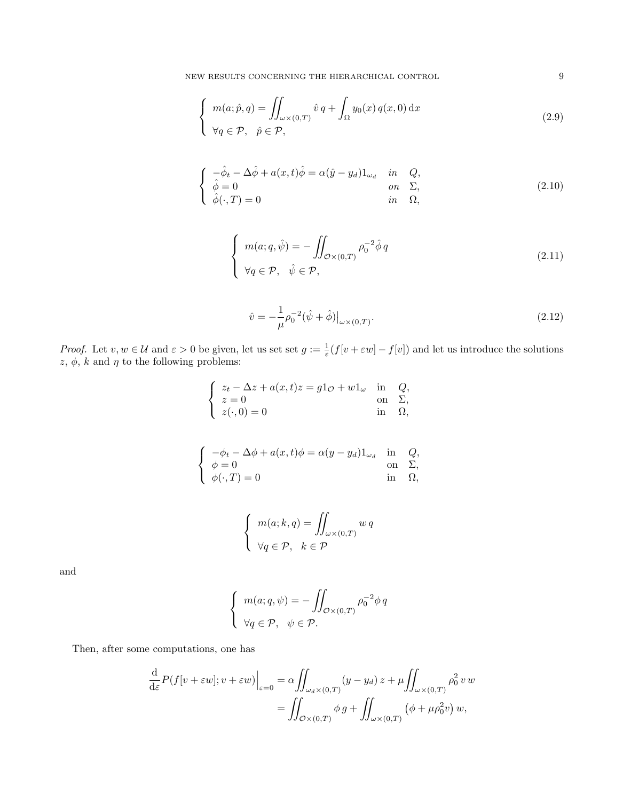NEW RESULTS CONCERNING THE HIERARCHICAL CONTROL 9

$$
\begin{cases}\n m(a; \hat{p}, q) = \iint_{\omega \times (0, T)} \hat{v} q + \int_{\Omega} y_0(x) q(x, 0) dx \\
 \forall q \in \mathcal{P}, \quad \hat{p} \in \mathcal{P},\n\end{cases}
$$
\n(2.9)

$$
\begin{cases}\n-\hat{\phi}_t - \Delta \hat{\phi} + a(x, t)\hat{\phi} = \alpha(\hat{y} - y_d)1_{\omega_d} & \text{in} \quad Q, \\
\hat{\phi} = 0 & \text{on} \quad \Sigma, \\
\hat{\phi}(\cdot, T) = 0 & \text{in} \quad \Omega,\n\end{cases}
$$
\n(2.10)

<span id="page-8-1"></span>
$$
\begin{cases}\n m(a;q,\hat{\psi}) = -\iint_{\mathcal{O}\times(0,T)} \rho_0^{-2}\hat{\phi}q \\
 \forall q \in \mathcal{P}, \quad \hat{\psi} \in \mathcal{P},\n\end{cases}
$$
\n(2.11)

<span id="page-8-0"></span>
$$
\hat{v} = -\frac{1}{\mu}\rho_0^{-2}(\hat{\psi} + \hat{\phi})\big|_{\omega \times (0,T)}.
$$
\n(2.12)

*Proof.* Let  $v, w \in \mathcal{U}$  and  $\varepsilon > 0$  be given, let us set set  $g := \frac{1}{\varepsilon}(f[v + \varepsilon w] - f[v])$  and let us introduce the solutions  $z, \phi, k$  and  $\eta$  to the following problems:

$$
\begin{cases}\n z_t - \Delta z + a(x, t)z = g1_{\mathcal{O}} + w1_{\omega} & \text{in} \quad Q, \\
 z = 0 & \text{on} \quad \Sigma, \\
 z(\cdot, 0) = 0 & \text{in} \quad \Omega,\n\end{cases}
$$

$$
\begin{cases}\n-\phi_t - \Delta \phi + a(x, t)\phi = \alpha (y - y_d) 1_{\omega_d} & \text{in} \quad Q, \\
\phi = 0 & \text{on} \quad \Sigma, \\
\phi(\cdot, T) = 0 & \text{in} \quad \Omega,\n\end{cases}
$$

$$
\begin{cases}\n m(a;k,q) = \iint_{\omega \times (0,T)} w q \\
 \forall q \in \mathcal{P}, \quad k \in \mathcal{P}\n\end{cases}
$$

and

$$
\begin{cases}\n m(a;q,\psi) = -\iint_{\mathcal{O}\times(0,T)} \rho_0^{-2}\phi q \\
 \forall q \in \mathcal{P}, \quad \psi \in \mathcal{P}.\n\end{cases}
$$

Then, after some computations, one has

$$
\frac{\mathrm{d}}{\mathrm{d}\varepsilon} P(f[v + \varepsilon w]; v + \varepsilon w) \Big|_{\varepsilon=0} = \alpha \iint_{\omega_d \times (0,T)} (y - y_d) z + \mu \iint_{\omega \times (0,T)} \rho_0^2 v w
$$

$$
= \iint_{\mathcal{O} \times (0,T)} \phi g + \iint_{\omega \times (0,T)} (\phi + \mu \rho_0^2 v) w,
$$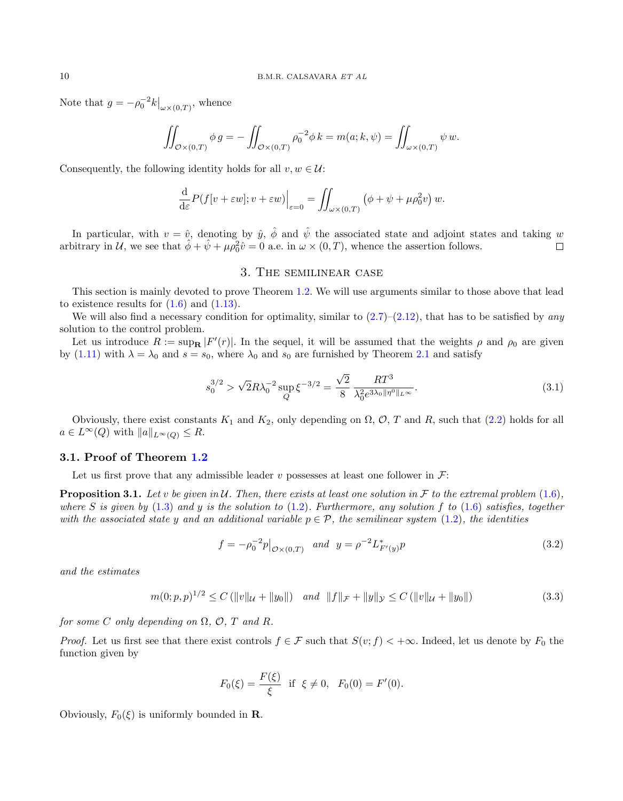Note that  $g = -\rho_0^{-2} k\big|_{\omega \times (0,T)}$ , whence

$$
\iint_{\mathcal{O}\times(0,T)}\phi\,g=-\iint_{\mathcal{O}\times(0,T)}\rho_0^{-2}\phi\,k=m(a;k,\psi)=\iint_{\omega\times(0,T)}\psi\,w.
$$

Consequently, the following identity holds for all  $v, w \in \mathcal{U}$ :

$$
\frac{\mathrm{d}}{\mathrm{d}\varepsilon}P(f[v+\varepsilon w];v+\varepsilon w)\Big|_{\varepsilon=0}=\iint_{\omega\times(0,T)}\left(\phi+\psi+\mu\rho_0^2v\right)w.
$$

In particular, with  $v = \hat{v}$ , denoting by  $\hat{y}$ ,  $\hat{\phi}$  and  $\hat{\psi}$  the associated state and adjoint states and taking w arbitrary in U, we see that  $\hat{\phi} + \hat{\psi} + \mu \rho_0^2 \hat{v} = 0$  a.e. in  $\omega \times (0, T)$ , whence the assertion follows.  $\Box$ 

# 3. The semilinear case

<span id="page-9-1"></span>This section is mainly devoted to prove Theorem [1.2.](#page-5-1) We will use arguments similar to those above that lead to existence results for  $(1.6)$  and  $(1.13)$ .

We will also find a necessary condition for optimality, similar to  $(2.7)$ – $(2.12)$ , that has to be satisfied by any solution to the control problem.

Let us introduce  $R := \sup_{\mathbf{R}} |F'(r)|$ . In the sequel, it will be assumed that the weights  $\rho$  and  $\rho_0$  are given by [\(1.11\)](#page-4-4) with  $\lambda = \lambda_0$  and  $s = s_0$ , where  $\lambda_0$  and  $s_0$  are furnished by Theorem [2.1](#page-6-3) and satisfy

<span id="page-9-0"></span>
$$
s_0^{3/2} > \sqrt{2}R\lambda_0^{-2} \sup_Q \xi^{-3/2} = \frac{\sqrt{2}}{8} \frac{RT^3}{\lambda_0^2 e^{3\lambda_0 \|\eta^0\|_{L^\infty}}}.
$$
 (3.1)

Obviously, there exist constants  $K_1$  and  $K_2$ , only depending on  $\Omega$ ,  $\mathcal{O}$ , T and R, such that [\(2.2\)](#page-6-5) holds for all  $a \in L^{\infty}(Q)$  with  $||a||_{L^{\infty}(Q)} \leq R$ .

#### 3.1. Proof of Theorem [1.2](#page-5-1)

Let us first prove that any admissible leader v possesses at least one follower in  $\mathcal{F}$ :

<span id="page-9-4"></span>**Proposition 3.1.** Let v be given in U. Then, there exists at least one solution in F to the extremal problem  $(1.6)$ , where S is given by [\(1.3\)](#page-2-4) and y is the solution to [\(1.2\)](#page-2-0). Furthermore, any solution f to [\(1.6\)](#page-2-1) satisfies, together with the associated state y and an additional variable  $p \in \mathcal{P}$ , the semilinear system [\(1.2\)](#page-2-0), the identities

<span id="page-9-2"></span>
$$
f = -\rho_0^{-2} p|_{\mathcal{O} \times (0,T)} \quad and \quad y = \rho^{-2} L^*_{F'(y)} p \tag{3.2}
$$

and the estimates

<span id="page-9-3"></span>
$$
m(0; p, p)^{1/2} \le C \left( \|v\|_{\mathcal{U}} + \|y_0\| \right) \quad \text{and} \quad \|f\|_{\mathcal{F}} + \|y\|_{\mathcal{Y}} \le C \left( \|v\|_{\mathcal{U}} + \|y_0\| \right) \tag{3.3}
$$

for some C only depending on  $\Omega$ ,  $\mathcal{O}$ , T and R.

*Proof.* Let us first see that there exist controls  $f \in \mathcal{F}$  such that  $S(v; f) < +\infty$ . Indeed, let us denote by  $F_0$  the function given by

$$
F_0(\xi) = \frac{F(\xi)}{\xi}
$$
 if  $\xi \neq 0$ ,  $F_0(0) = F'(0)$ .

Obviously,  $F_0(\xi)$  is uniformly bounded in **R**.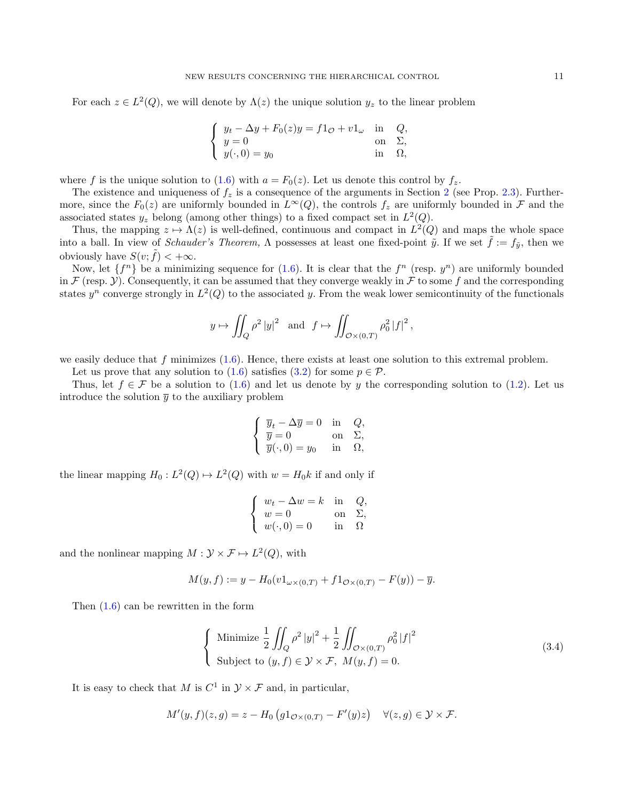For each  $z \in L^2(Q)$ , we will denote by  $\Lambda(z)$  the unique solution  $y_z$  to the linear problem

$$
\begin{cases}\ny_t - \Delta y + F_0(z)y = f1_{\mathcal{O}} + v1_{\omega} & \text{in} \quad Q, \\
y = 0 & \text{on} \quad \Sigma, \\
y(\cdot, 0) = y_0 & \text{in} \quad \Omega,\n\end{cases}
$$

where f is the unique solution to [\(1.6\)](#page-2-1) with  $a = F_0(z)$ . Let us denote this control by  $f_z$ .

The existence and uniqueness of  $f_z$  is a consequence of the arguments in Section [2](#page-5-0) (see Prop. [2.3\)](#page-6-0). Furthermore, since the  $F_0(z)$  are uniformly bounded in  $L^{\infty}(Q)$ , the controls  $f_z$  are uniformly bounded in  $\mathcal F$  and the associated states  $y_z$  belong (among other things) to a fixed compact set in  $L^2(Q)$ .

Thus, the mapping  $z \mapsto \Lambda(z)$  is well-defined, continuous and compact in  $L^2(Q)$  and maps the whole space into a ball. In view of *Schauder's Theorem*,  $\Lambda$  possesses at least one fixed-point  $\tilde{y}$ . If we set  $\tilde{f} := f_{\tilde{y}}$ , then we obviously have  $S(v; \tilde{f}) < +\infty$ .

Now, let  $\{f^n\}$  be a minimizing sequence for  $(1.6)$ . It is clear that the  $f^n$  (resp.  $y^n$ ) are uniformly bounded in  $\mathcal F$  (resp.  $\mathcal Y$ ). Consequently, it can be assumed that they converge weakly in  $\mathcal F$  to some f and the corresponding states  $y^n$  converge strongly in  $L^2(Q)$  to the associated y. From the weak lower semicontinuity of the functionals

$$
y \mapsto \iint_Q \rho^2 |y|^2
$$
 and  $f \mapsto \iint_{\mathcal{O}\times(0,T)} \rho_0^2 |f|^2$ ,

we easily deduce that f minimizes  $(1.6)$ . Hence, there exists at least one solution to this extremal problem.

Let us prove that any solution to [\(1.6\)](#page-2-1) satisfies [\(3.2\)](#page-9-2) for some  $p \in \mathcal{P}$ .

Thus, let  $f \in \mathcal{F}$  be a solution to [\(1.6\)](#page-2-1) and let us denote by y the corresponding solution to [\(1.2\)](#page-2-0). Let us introduce the solution  $\bar{y}$  to the auxiliary problem

$$
\begin{cases} \overline{y}_t - \Delta \overline{y} = 0 & \text{in} \quad Q, \\ \overline{y} = 0 & \text{on} \quad \Sigma, \\ \overline{y}(\cdot, 0) = y_0 & \text{in} \quad \Omega, \end{cases}
$$

the linear mapping  $H_0: L^2(Q) \mapsto L^2(Q)$  with  $w = H_0k$  if and only if

$$
\begin{cases}\nw_t - \Delta w = k & \text{in} \quad Q, \\
w = 0 & \text{on} \quad \Sigma, \\
w(\cdot, 0) = 0 & \text{in} \quad \Omega\n\end{cases}
$$

and the nonlinear mapping  $M : \mathcal{Y} \times \mathcal{F} \mapsto L^2(Q)$ , with

$$
M(y, f) := y - H_0(v1_{\omega \times (0,T)} + f1_{\mathcal{O} \times (0,T)} - F(y)) - \overline{y}.
$$

Then [\(1.6\)](#page-2-1) can be rewritten in the form

<span id="page-10-0"></span>
$$
\begin{cases}\n\text{Minimize } \frac{1}{2} \iint_Q \rho^2 |y|^2 + \frac{1}{2} \iint_{\mathcal{O} \times (0,T)} \rho_0^2 |f|^2\\ \n\text{Subject to } (y, f) \in \mathcal{Y} \times \mathcal{F}, \ M(y, f) = 0.\n\end{cases} \tag{3.4}
$$

It is easy to check that M is  $C^1$  in  $\mathcal{Y} \times \mathcal{F}$  and, in particular,

 $M'(y, f)(z, g) = z - H_0(g1_{\mathcal{O}\times(0,T)} - F'(y)z) \quad \forall (z, g) \in \mathcal{Y} \times \mathcal{F}.$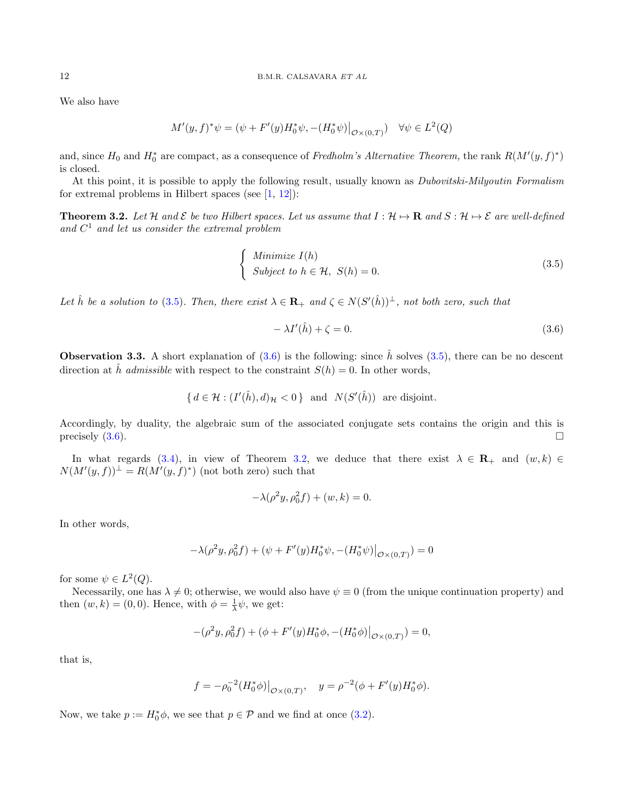We also have

$$
M'(y, f)^{*}\psi = (\psi + F'(y)H_0^*\psi, -(H_0^*\psi)|_{\mathcal{O}\times(0,T)}) \quad \forall \psi \in L^2(Q)
$$

and, since  $H_0$  and  $H_0^*$  are compact, as a consequence of Fredholm's Alternative Theorem, the rank  $R(M'(y, f)^*)$ is closed.

At this point, it is possible to apply the following result, usually known as Dubovitski-Milyoutin Formalism for extremal problems in Hilbert spaces (see  $[1, 12]$  $[1, 12]$ ):

<span id="page-11-2"></span>**Theorem 3.2.** Let H and  $\mathcal E$  be two Hilbert spaces. Let us assume that  $I : \mathcal H \mapsto \mathbf R$  and  $S : \mathcal H \mapsto \mathcal E$  are well-defined and  $C<sup>1</sup>$  and let us consider the extremal problem

<span id="page-11-0"></span>
$$
\begin{cases}\n\text{Minimize } I(h) \\
\text{Subject to } h \in \mathcal{H}, \ S(h) = 0.\n\end{cases} \tag{3.5}
$$

Let  $\hat{h}$  be a solution to [\(3.5\)](#page-11-0). Then, there exist  $\lambda \in \mathbf{R}_+$  and  $\zeta \in N(S'(\hat{h}))^{\perp}$ , not both zero, such that

<span id="page-11-1"></span>
$$
-\lambda I'(\hat{h}) + \zeta = 0. \tag{3.6}
$$

**Observation 3.3.** A short explanation of  $(3.6)$  is the following: since  $\hat{h}$  solves  $(3.5)$ , there can be no descent direction at  $\hat{h}$  admissible with respect to the constraint  $S(h) = 0$ . In other words,

$$
\{ d \in \mathcal{H} : (I'(\hat{h}), d)_{\mathcal{H}} < 0 \} \text{ and } N(S'(\hat{h})) \text{ are disjoint.}
$$

Accordingly, by duality, the algebraic sum of the associated conjugate sets contains the origin and this is precisely  $(3.6)$ .

In what regards [\(3.4\)](#page-10-0), in view of Theorem [3.2,](#page-11-2) we deduce that there exist  $\lambda \in \mathbf{R}_{+}$  and  $(w, k) \in$  $N(M'(y, f))^{\perp} = R(M'(y, f)^*)$  (not both zero) such that

$$
-\lambda(\rho^2 y, \rho_0^2 f) + (w, k) = 0.
$$

In other words,

$$
-\lambda(\rho^2 y, \rho_0^2 f) + (\psi + F'(y)H_0^* \psi, -(H_0^* \psi)|_{\mathcal{O} \times (0,T)}) = 0
$$

for some  $\psi \in L^2(Q)$ .

Necessarily, one has  $\lambda \neq 0$ ; otherwise, we would also have  $\psi \equiv 0$  (from the unique continuation property) and then  $(w, k) = (0, 0)$ . Hence, with  $\phi = \frac{1}{\lambda}\psi$ , we get:

$$
-(\rho^2 y, \rho_0^2 f) + (\phi + F'(y)H_0^* \phi, -(H_0^* \phi)|_{\mathcal{O} \times (0,T)}) = 0,
$$

that is,

$$
f = -\rho_0^{-2} (H_0^* \phi)|_{\mathcal{O} \times (0,T)}, \quad y = \rho^{-2} (\phi + F'(y) H_0^* \phi).
$$

Now, we take  $p := H_0^* \phi$ , we see that  $p \in \mathcal{P}$  and we find at once [\(3.2\)](#page-9-2).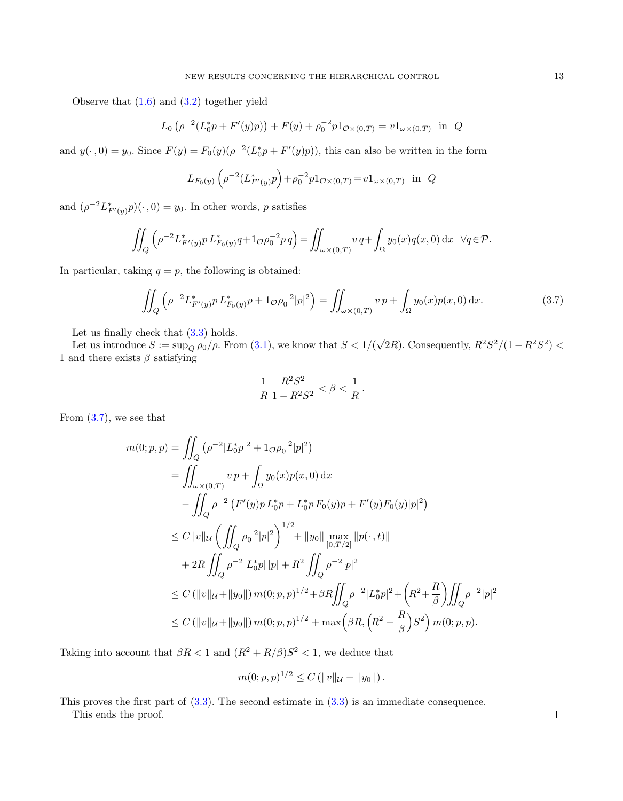Observe that  $(1.6)$  and  $(3.2)$  together yield

$$
L_0 \left( \rho^{-2} (L_0^* p + F'(y) p) \right) + F(y) + \rho_0^{-2} p 1_{\mathcal{O} \times (0,T)} = v 1_{\omega \times (0,T)} \text{ in } Q
$$

and  $y(\cdot, 0) = y_0$ . Since  $F(y) = F_0(y)(\rho^{-2}(L_0^* p + F'(y)p))$ , this can also be written in the form

$$
L_{F_0(y)}\left(\rho^{-2}(L_{F'(y)}^*p\right) + \rho_0^{-2}p1_{\mathcal{O}\times(0,T)} = v1_{\omega\times(0,T)} \text{ in } Q
$$

and  $(\rho^{-2} L^*_{F'(y)} p)(\cdot, 0) = y_0$ . In other words, p satisfies

$$
\iint_Q \left( \rho^{-2} L^*_{F'(y)} p L^*_{F_0(y)} q + 1_{\mathcal{O}} \rho_0^{-2} p q \right) = \iint_{\omega \times (0,T)} v q + \int_{\Omega} y_0(x) q(x,0) dx \quad \forall q \in \mathcal{P}.
$$

In particular, taking  $q = p$ , the following is obtained:

<span id="page-12-0"></span>
$$
\iint_Q \left( \rho^{-2} L^*_{F'(y)} p L^*_{F_0(y)} p + 1_{\mathcal{O}} \rho_0^{-2} |p|^2 \right) = \iint_{\omega \times (0,T)} v p + \int_{\Omega} y_0(x) p(x,0) \,dx. \tag{3.7}
$$

Let us finally check that  $(3.3)$  holds.

Let us introduce  $S := \sup_{Q} \rho_0 / \rho$ . From [\(3.1\)](#page-9-0), we know that  $S < 1/($  $\sqrt{2}R$ ). Consequently,  $R^2S^2/(1-R^2S^2)$  < 1 and there exists  $\beta$  satisfying

$$
\frac{1}{R} \frac{R^2 S^2}{1 - R^2 S^2} < \beta < \frac{1}{R} \, .
$$

From [\(3.7\)](#page-12-0), we see that

$$
m(0; p, p) = \iint_Q (\rho^{-2} |L_0^* p|^2 + 1 \sigma \rho_0^{-2} |p|^2)
$$
  
\n
$$
= \iint_{\omega \times (0,T)} v p + \int_{\Omega} y_0(x) p(x, 0) dx
$$
  
\n
$$
- \iint_Q \rho^{-2} (F'(y) p L_0^* p + L_0^* p F_0(y) p + F'(y) F_0(y) |p|^2)
$$
  
\n
$$
\leq C ||v||_{\mathcal{U}} \left( \iint_Q \rho_0^{-2} |p|^2 \right)^{1/2} + ||y_0|| \max_{[0, T/2]} ||p(\cdot, t)||
$$
  
\n
$$
+ 2R \iint_Q \rho^{-2} |L_0^* p| |p| + R^2 \iint_Q \rho^{-2} |p|^2
$$
  
\n
$$
\leq C (||v||_{\mathcal{U}} + ||y_0||) m(0; p, p)^{1/2} + \beta R \iint_Q \rho^{-2} |L_0^* p|^2 + (R^2 + \frac{R}{\beta}) \iint_Q \rho^{-2} |p|^2
$$
  
\n
$$
\leq C (||v||_{\mathcal{U}} + ||y_0||) m(0; p, p)^{1/2} + \max (\beta R, (R^2 + \frac{R}{\beta}) S^2) m(0; p, p).
$$

Taking into account that  $\beta R < 1$  and  $(R^2 + R/\beta)S^2 < 1$ , we deduce that

$$
m(0; p, p)^{1/2} \leq C (||v||_{\mathcal{U}} + ||y_0||).
$$

This proves the first part of [\(3.3\)](#page-9-3). The second estimate in [\(3.3\)](#page-9-3) is an immediate consequence.

This ends the proof.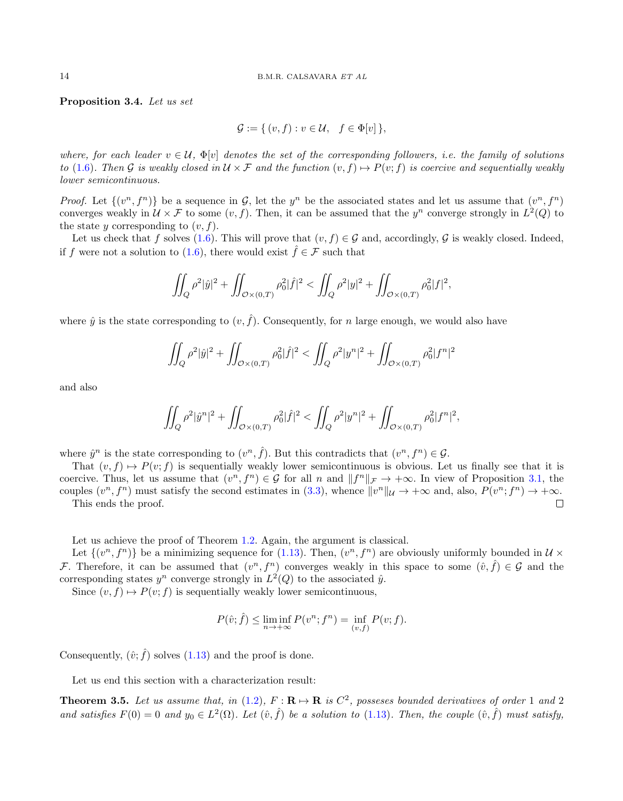Proposition 3.4. Let us set

$$
\mathcal{G} := \{ (v, f) : v \in \mathcal{U}, f \in \Phi[v] \},
$$

where, for each leader  $v \in U$ ,  $\Phi[v]$  denotes the set of the corresponding followers, i.e. the family of solutions to [\(1.6\)](#page-2-1). Then G is weakly closed in  $U \times \mathcal{F}$  and the function  $(v, f) \mapsto P(v, f)$  is coercive and sequentially weakly lower semicontinuous.

*Proof.* Let  $\{(v^n, f^n)\}\$ be a sequence in G, let the  $y^n$  be the associated states and let us assume that  $(v^n, f^n)$ converges weakly in  $\mathcal{U} \times \mathcal{F}$  to some  $(v, f)$ . Then, it can be assumed that the  $y^n$  converge strongly in  $L^2(Q)$  to the state  $y$  corresponding to  $(v, f)$ .

Let us check that f solves [\(1.6\)](#page-2-1). This will prove that  $(v, f) \in \mathcal{G}$  and, accordingly,  $\mathcal{G}$  is weakly closed. Indeed, if f were not a solution to [\(1.6\)](#page-2-1), there would exist  $\hat{f} \in \mathcal{F}$  such that

$$
\iint_{Q} \rho^{2}|\hat{y}|^{2} + \iint_{\mathcal{O}\times(0,T)} \rho_{0}^{2}|\hat{f}|^{2} < \iint_{Q} \rho^{2}|y|^{2} + \iint_{\mathcal{O}\times(0,T)} \rho_{0}^{2}|f|^{2},
$$

where  $\hat{y}$  is the state corresponding to  $(v, \hat{f})$ . Consequently, for n large enough, we would also have

$$
\iint_{Q} \rho^{2} |\hat{y}|^{2} + \iint_{\mathcal{O}\times(0,T)} \rho_{0}^{2} |\hat{f}|^{2} < \iint_{Q} \rho^{2} |y^{n}|^{2} + \iint_{\mathcal{O}\times(0,T)} \rho_{0}^{2} |f^{n}|^{2}
$$

and also

$$
\iint_{Q} \rho^{2} |\hat{y}^{n}|^{2} + \iint_{\mathcal{O}\times(0,T)} \rho_{0}^{2} |\hat{f}|^{2} < \iint_{Q} \rho^{2} |y^{n}|^{2} + \iint_{\mathcal{O}\times(0,T)} \rho_{0}^{2} |f^{n}|^{2},
$$

where  $\hat{y}^n$  is the state corresponding to  $(v^n, \hat{f})$ . But this contradicts that  $(v^n, f^n) \in \mathcal{G}$ .

That  $(v, f) \mapsto P(v; f)$  is sequentially weakly lower semicontinuous is obvious. Let us finally see that it is coercive. Thus, let us assume that  $(v^n, f^n) \in \mathcal{G}$  for all n and  $||f^n||_{\mathcal{F}} \to +\infty$ . In view of Proposition [3.1,](#page-9-4) the couples  $(v^n, f^n)$  must satisfy the second estimates in [\(3.3\)](#page-9-3), whence  $||v^n||_{\mathcal{U}} \to +\infty$  and, also,  $P(v^n; f^n) \to +\infty$ . This ends the proof.  $\Box$ 

Let us achieve the proof of Theorem [1.2.](#page-5-1) Again, the argument is classical.

Let  $\{(v^n, f^n)\}\$ be a minimizing sequence for  $(1.13)$ . Then,  $(v^n, f^n)$  are obviously uniformly bounded in  $\mathcal{U}\times\mathcal{U}$ F. Therefore, it can be assumed that  $(v^n, f^n)$  converges weakly in this space to some  $(\hat{v}, \hat{f}) \in \mathcal{G}$  and the corresponding states  $y^n$  converge strongly in  $L^2(Q)$  to the associated  $\hat{y}$ .

Since  $(v, f) \mapsto P(v; f)$  is sequentially weakly lower semicontinuous,

$$
P(\hat{v}; \hat{f}) \le \liminf_{n \to +\infty} P(v^n; f^n) = \inf_{(v, f)} P(v; f).
$$

Consequently,  $(\hat{v}; \hat{f})$  solves [\(1.13\)](#page-4-3) and the proof is done.

Let us end this section with a characterization result:

<span id="page-13-0"></span>**Theorem 3.5.** Let us assume that, in [\(1.2\)](#page-2-0),  $F: \mathbf{R} \to \mathbf{R}$  is  $C^2$ , posseses bounded derivatives of order 1 and 2 and satisfies  $F(0) = 0$  and  $y_0 \in L^2(\Omega)$ . Let  $(\hat{v}, \hat{f})$  be a solution to [\(1.13\)](#page-4-3). Then, the couple  $(\hat{v}, \hat{f})$  must satisfy,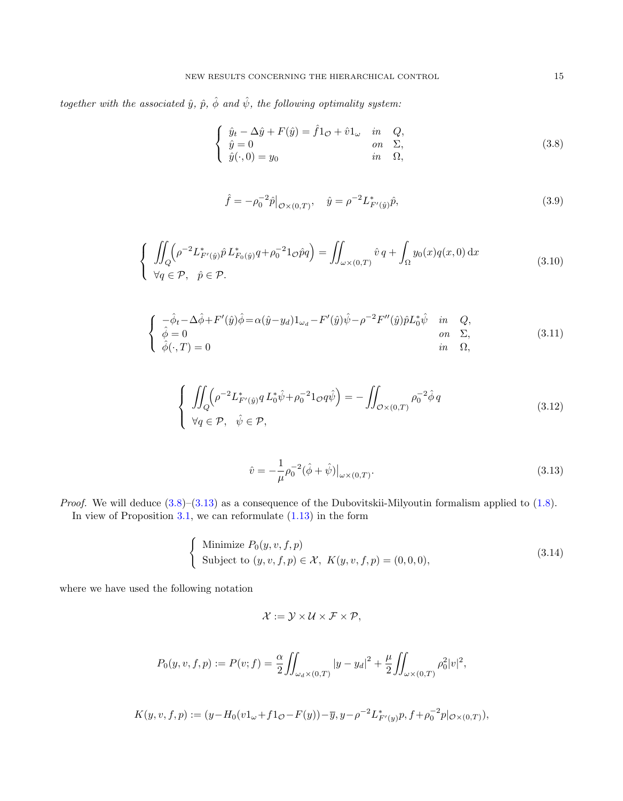together with the associated  $\hat{y},\ \hat{p},\ \hat{\phi}\ and\ \hat{\psi},\ the\ following\ optimality\ system:$ 

<span id="page-14-0"></span>
$$
\begin{cases}\n\hat{y}_t - \Delta \hat{y} + F(\hat{y}) = \hat{f}1_{\mathcal{O}} + \hat{v}1_{\omega} & \text{in} \quad Q, \\
\hat{y} = 0 & \text{on} \quad \Sigma, \\
\hat{y}(\cdot, 0) = y_0 & \text{in} \quad \Omega,\n\end{cases}
$$
\n(3.8)

$$
\hat{f} = -\rho_0^{-2} \hat{p}|_{\mathcal{O} \times (0,T)}, \quad \hat{y} = \rho^{-2} L^*_{F'(\hat{y})} \hat{p}, \tag{3.9}
$$

$$
\begin{cases}\n\iint_{Q} \left( \rho^{-2} L_{F'(y)}^* \hat{p} L_{F_0(y)}^* q + \rho_0^{-2} 1_{\mathcal{O}} \hat{p} q \right) = \iint_{\omega \times (0,T)} \hat{v} \, q + \int_{\Omega} y_0(x) q(x,0) \, dx \\
\forall q \in \mathcal{P}, \quad \hat{p} \in \mathcal{P}.\n\end{cases} \tag{3.10}
$$

$$
\begin{cases}\n-\hat{\phi}_t - \Delta \hat{\phi} + F'(\hat{y})\hat{\phi} = \alpha(\hat{y} - y_d)1_{\omega_d} - F'(\hat{y})\hat{\psi} - \rho^{-2}F''(\hat{y})\hat{p}L_0^*\hat{\psi} & \text{in} \quad Q, \\
\hat{\phi} = 0 & \text{on} \quad \Sigma, \\
\hat{\phi}(\cdot, T) = 0 & \text{in} \quad \Omega,\n\end{cases}
$$
\n(3.11)

<span id="page-14-3"></span>
$$
\begin{cases}\n\iint_{Q} \left( \rho^{-2} L_{F'(\hat{y})}^{*} q L_{0}^{*} \hat{\psi} + \rho_{0}^{-2} 1_{\mathcal{O}} q \hat{\psi} \right) = -\iint_{\mathcal{O} \times (0,T)} \rho_{0}^{-2} \hat{\phi} q \\
\forall q \in \mathcal{P}, \quad \hat{\psi} \in \mathcal{P},\n\end{cases}
$$
\n(3.12)

<span id="page-14-1"></span>
$$
\hat{v} = -\frac{1}{\mu} \rho_0^{-2} (\hat{\phi} + \hat{\psi}) \big|_{\omega \times (0,T)}.
$$
\n(3.13)

*Proof.* We will deduce  $(3.8)$ – $(3.13)$  as a consequence of the Dubovitskii-Milyoutin formalism applied to  $(1.8)$ . In view of Proposition  $3.1$ , we can reformulate  $(1.13)$  in the form

<span id="page-14-2"></span>
$$
\begin{cases}\n\text{Minimize } P_0(y, v, f, p) \\
\text{Subject to } (y, v, f, p) \in \mathcal{X}, \ K(y, v, f, p) = (0, 0, 0),\n\end{cases}
$$
\n(3.14)

where we have used the following notation

$$
\mathcal{X} := \mathcal{Y} \times \mathcal{U} \times \mathcal{F} \times \mathcal{P},
$$

$$
P_0(y, v, f, p) := P(v; f) = \frac{\alpha}{2} \iint_{\omega_d \times (0, T)} |y - y_d|^2 + \frac{\mu}{2} \iint_{\omega \times (0, T)} \rho_0^2 |v|^2,
$$

$$
K(y, v, f, p) := (y - H_0(v1_\omega + f1_{\mathcal{O}} - F(y)) - \overline{y}, y - \rho^{-2} L^*_{F'(y)} p, f + \rho_0^{-2} p|_{\mathcal{O} \times (0,T)}),
$$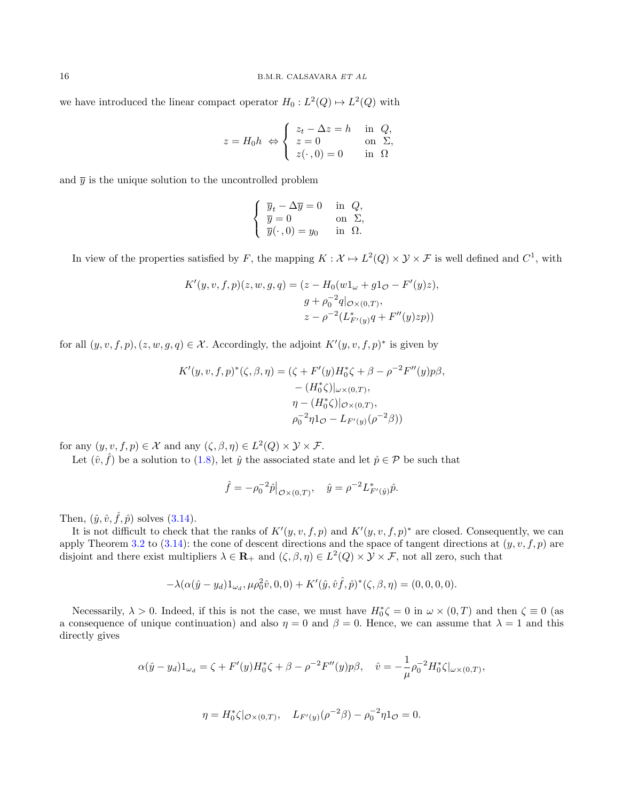we have introduced the linear compact operator  $H_0: L^2(Q) \mapsto L^2(Q)$  with

$$
z = H_0 h \Leftrightarrow \begin{cases} z_t - \Delta z = h & \text{in } Q, \\ z = 0 & \text{on } \Sigma, \\ z(\cdot, 0) = 0 & \text{in } \Omega \end{cases}
$$

and  $\bar{y}$  is the unique solution to the uncontrolled problem

$$
\begin{cases} \overline{y}_t - \Delta \overline{y} = 0 & \text{in } Q, \\ \overline{y} = 0 & \text{on } \Sigma, \\ \overline{y}(\cdot, 0) = y_0 & \text{in } \Omega. \end{cases}
$$

In view of the properties satisfied by F, the mapping  $K : \mathcal{X} \to L^2(Q) \times \mathcal{Y} \times \mathcal{F}$  is well defined and  $C^1$ , with

$$
K'(y, v, f, p)(z, w, g, q) = (z - H_0(w1\omega + g1\mathcal{O} - F'(y)z),
$$
  
\n
$$
g + \rho_0^{-2}q|_{\mathcal{O}\times(0,T)},
$$
  
\n
$$
z - \rho^{-2}(L_{F'(y)}^*q + F''(y)zp))
$$

for all  $(y, v, f, p), (z, w, g, q) \in \mathcal{X}$ . Accordingly, the adjoint  $K'(y, v, f, p)^*$  is given by

$$
K'(y, v, f, p)^*(\zeta, \beta, \eta) = (\zeta + F'(y)H_0^*\zeta + \beta - \rho^{-2}F''(y)p\beta, - (H_0^*\zeta)|_{\omega \times (0,T)}, \eta - (H_0^*\zeta)|_{\mathcal{O} \times (0,T)}, \rho_0^{-2}\eta 1_{\mathcal{O}} - L_{F'(y)}(\rho^{-2}\beta))
$$

for any  $(y, v, f, p) \in \mathcal{X}$  and any  $(\zeta, \beta, \eta) \in L^2(Q) \times \mathcal{Y} \times \mathcal{F}$ .

Let  $(\hat{v}, \hat{f})$  be a solution to [\(1.8\)](#page-2-2), let  $\hat{y}$  the associated state and let  $\hat{p} \in \mathcal{P}$  be such that

$$
\hat{f} = -\rho_0^{-2} \hat{p}|_{\mathcal{O}\times(0,T)}, \quad \hat{y} = \rho^{-2} L^*_{F'(y)} \hat{p}.
$$

Then,  $(\hat{y}, \hat{v}, \hat{f}, \hat{p})$  solves  $(3.14)$ .

It is not difficult to check that the ranks of  $K'(y, v, f, p)$  and  $K'(y, v, f, p)^*$  are closed. Consequently, we can apply Theorem [3.2](#page-11-2) to  $(3.14)$ : the cone of descent directions and the space of tangent directions at  $(y, v, f, p)$  are disjoint and there exist multipliers  $\lambda \in \mathbf{R}_+$  and  $(\zeta, \beta, \eta) \in L^2(Q) \times \mathcal{Y} \times \mathcal{F}$ , not all zero, such that

$$
-\lambda(\alpha(\hat{y}-y_d)1_{\omega_d}, \mu \rho_0^2 \hat{v}, 0, 0) + K'(\hat{y}, \hat{v}f, \hat{p})^*(\zeta, \beta, \eta) = (0, 0, 0, 0).
$$

Necessarily,  $\lambda > 0$ . Indeed, if this is not the case, we must have  $H_0^* \zeta = 0$  in  $\omega \times (0,T)$  and then  $\zeta \equiv 0$  (as a consequence of unique continuation) and also  $\eta = 0$  and  $\beta = 0$ . Hence, we can assume that  $\lambda = 1$  and this directly gives

$$
\alpha(\hat{y} - y_d)1_{\omega_d} = \zeta + F'(y)H_0^*\zeta + \beta - \rho^{-2}F''(y)p\beta, \quad \hat{v} = -\frac{1}{\mu}\rho_0^{-2}H_0^*\zeta|_{\omega \times (0,T)},
$$

$$
\eta = H_0^* \zeta |_{\mathcal{O} \times (0,T)}, \quad L_{F'(y)}(\rho^{-2}\beta) - \rho_0^{-2} \eta \mathbf{1}_{\mathcal{O}} = 0.
$$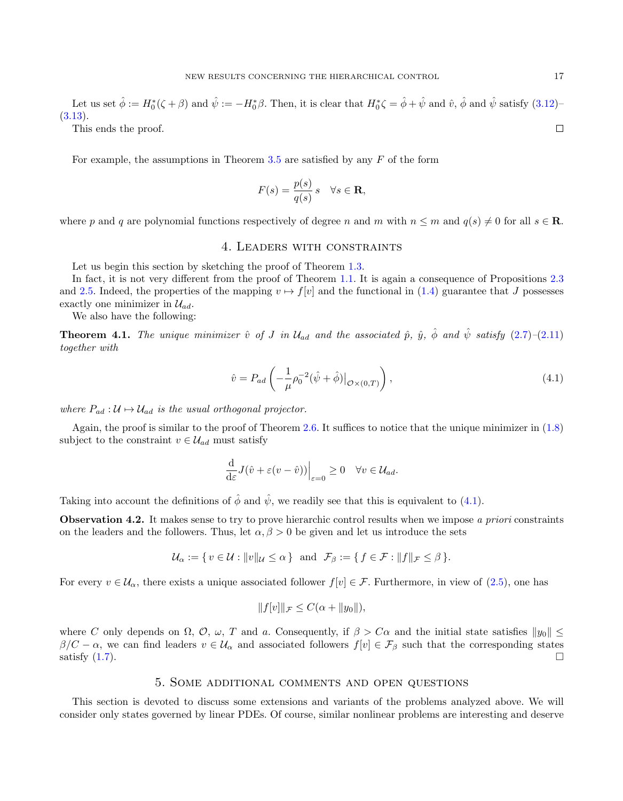Let us set  $\hat{\phi} := H_0^*(\zeta + \beta)$  and  $\hat{\psi} := -H_0^*\beta$ . Then, it is clear that  $H_0^*\zeta = \hat{\phi} + \hat{\psi}$  and  $\hat{v}$ ,  $\hat{\phi}$  and  $\hat{\psi}$  satisfy  $(3.12)$ [\(3.13\)](#page-14-1).  $\Box$ 

This ends the proof.

For example, the assumptions in Theorem [3.5](#page-13-0) are satisfied by any  $F$  of the form

$$
F(s) = \frac{p(s)}{q(s)} s \quad \forall s \in \mathbf{R},
$$

<span id="page-16-0"></span>where p and q are polynomial functions respectively of degree n and m with  $n \le m$  and  $q(s) \ne 0$  for all  $s \in \mathbb{R}$ .

# 4. Leaders with constraints

Let us begin this section by sketching the proof of Theorem [1.3.](#page-5-2)

In fact, it is not very different from the proof of Theorem [1.1.](#page-4-2) It is again a consequence of Propositions [2.3](#page-6-0) and [2.5.](#page-7-1) Indeed, the properties of the mapping  $v \mapsto f[v]$  and the functional in [\(1.4\)](#page-2-5) guarantee that J possesses exactly one minimizer in  $\mathcal{U}_{ad}$ .

We also have the following:

**Theorem 4.1.** The unique minimizer v̂ of J in  $\mathcal{U}_{ad}$  and the associated p̂,  $\hat{y}$ ,  $\hat{\phi}$  and  $\hat{\psi}$  satisfy [\(2.7\)](#page-7-2)–[\(2.11\)](#page-8-1) together with

<span id="page-16-3"></span>
$$
\hat{v} = P_{ad} \left( -\frac{1}{\mu} \rho_0^{-2} (\hat{\psi} + \hat{\phi}) \big|_{\mathcal{O} \times (0,T)} \right),\tag{4.1}
$$

where  $P_{ad}: U \mapsto \mathcal{U}_{ad}$  is the usual orthogonal projector.

Again, the proof is similar to the proof of Theorem [2.6.](#page-7-0) It suffices to notice that the unique minimizer in [\(1.8\)](#page-2-2) subject to the constraint  $v \in \mathcal{U}_{ad}$  must satisfy

$$
\frac{\mathrm{d}}{\mathrm{d}\varepsilon}J(\hat{v}+\varepsilon(v-\hat{v}))\Big|_{\varepsilon=0}\geq 0\quad\forall v\in\mathcal{U}_{ad}.
$$

Taking into account the definitions of  $\hat{\phi}$  and  $\hat{\psi}$ , we readily see that this is equivalent to [\(4.1\)](#page-16-3).

<span id="page-16-1"></span>**Observation 4.2.** It makes sense to try to prove hierarchic control results when we impose a priori constraints on the leaders and the followers. Thus, let  $\alpha, \beta > 0$  be given and let us introduce the sets

$$
\mathcal{U}_{\alpha} := \{ v \in \mathcal{U} : ||v||_{\mathcal{U}} \leq \alpha \} \text{ and } \mathcal{F}_{\beta} := \{ f \in \mathcal{F} : ||f||_{\mathcal{F}} \leq \beta \}.
$$

For every  $v \in \mathcal{U}_{\alpha}$ , there exists a unique associated follower  $f[v] \in \mathcal{F}$ . Furthermore, in view of [\(2.5\)](#page-7-3), one has

$$
||f[v]||_{\mathcal{F}} \leq C(\alpha + ||y_0||),
$$

where C only depends on  $\Omega$ ,  $\mathcal{O}$ ,  $\omega$ , T and a. Consequently, if  $\beta > C\alpha$  and the initial state satisfies  $||y_0|| \leq$  $\beta/C - \alpha$ , we can find leaders  $v \in \mathcal{U}_{\alpha}$  and associated followers  $f[v] \in \mathcal{F}_{\beta}$  such that the corresponding states satisfy  $(1.7)$ .

# 5. Some additional comments and open questions

<span id="page-16-2"></span>This section is devoted to discuss some extensions and variants of the problems analyzed above. We will consider only states governed by linear PDEs. Of course, similar nonlinear problems are interesting and deserve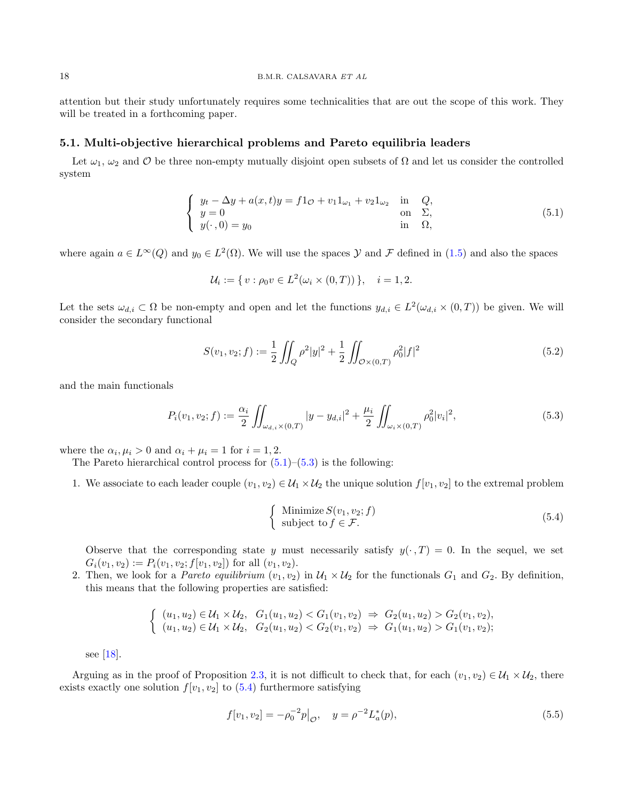attention but their study unfortunately requires some technicalities that are out the scope of this work. They will be treated in a forthcoming paper.

#### 5.1. Multi-objective hierarchical problems and Pareto equilibria leaders

Let  $\omega_1, \omega_2$  and  $\mathcal O$  be three non-empty mutually disjoint open subsets of  $\Omega$  and let us consider the controlled system

<span id="page-17-0"></span>
$$
\begin{cases}\n y_t - \Delta y + a(x, t)y = f1_{\mathcal{O}} + v_1 1_{\omega_1} + v_2 1_{\omega_2} & \text{in } Q, \\
 y = 0 & \text{on } \Sigma, \\
 y(\cdot, 0) = y_0 & \text{in } \Omega,\n\end{cases}
$$
\n(5.1)

where again  $a \in L^{\infty}(Q)$  and  $y_0 \in L^2(\Omega)$ . We will use the spaces  $\mathcal Y$  and  $\mathcal F$  defined in  $(1.5)$  and also the spaces

$$
\mathcal{U}_i := \{ v : \rho_0 v \in L^2(\omega_i \times (0,T)) \}, \quad i = 1, 2.
$$

Let the sets  $\omega_{d,i} \subset \Omega$  be non-empty and open and let the functions  $y_{d,i} \in L^2(\omega_{d,i} \times (0,T))$  be given. We will consider the secondary functional

$$
S(v_1, v_2; f) := \frac{1}{2} \iint_Q \rho^2 |y|^2 + \frac{1}{2} \iint_{\mathcal{O} \times (0,T)} \rho_0^2 |f|^2
$$
\n(5.2)

and the main functionals

<span id="page-17-1"></span>
$$
P_i(v_1, v_2; f) := \frac{\alpha_i}{2} \iint_{\omega_{d,i} \times (0,T)} |y - y_{d,i}|^2 + \frac{\mu_i}{2} \iint_{\omega_i \times (0,T)} \rho_0^2 |v_i|^2,
$$
\n(5.3)

where the  $\alpha_i, \mu_i > 0$  and  $\alpha_i + \mu_i = 1$  for  $i = 1, 2$ .

The Pareto hierarchical control process for  $(5.1)$ – $(5.3)$  is the following:

1. We associate to each leader couple  $(v_1, v_2) \in \mathcal{U}_1 \times \mathcal{U}_2$  the unique solution  $f[v_1, v_2]$  to the extremal problem

<span id="page-17-2"></span>
$$
\begin{cases} \text{Minimize } S(v_1, v_2; f) \\ \text{subject to } f \in \mathcal{F}. \end{cases} \tag{5.4}
$$

Observe that the corresponding state y must necessarily satisfy  $y(\cdot, T) = 0$ . In the sequel, we set  $G_i(v_1, v_2) := P_i(v_1, v_2; f[v_1, v_2])$  for all  $(v_1, v_2)$ .

2. Then, we look for a *Pareto equilibrium*  $(v_1, v_2)$  in  $\mathcal{U}_1 \times \mathcal{U}_2$  for the functionals  $G_1$  and  $G_2$ . By definition, this means that the following properties are satisfied:

$$
\begin{cases}\n(u_1, u_2) \in \mathcal{U}_1 \times \mathcal{U}_2, & G_1(u_1, u_2) < G_1(v_1, v_2) \Rightarrow G_2(u_1, u_2) > G_2(v_1, v_2), \\
(u_1, u_2) \in \mathcal{U}_1 \times \mathcal{U}_2, & G_2(u_1, u_2) < G_2(v_1, v_2) \Rightarrow G_1(u_1, u_2) > G_1(v_1, v_2);\n\end{cases}
$$

see [\[18\]](#page-24-16).

Arguing as in the proof of Proposition [2.3,](#page-6-0) it is not difficult to check that, for each  $(v_1, v_2) \in U_1 \times U_2$ , there exists exactly one solution  $f[v_1, v_2]$  to  $(5.4)$  furthermore satisfying

$$
f[v_1, v_2] = -\rho_0^{-2} p|_{\mathcal{O}}, \quad y = \rho^{-2} L_a^*(p), \tag{5.5}
$$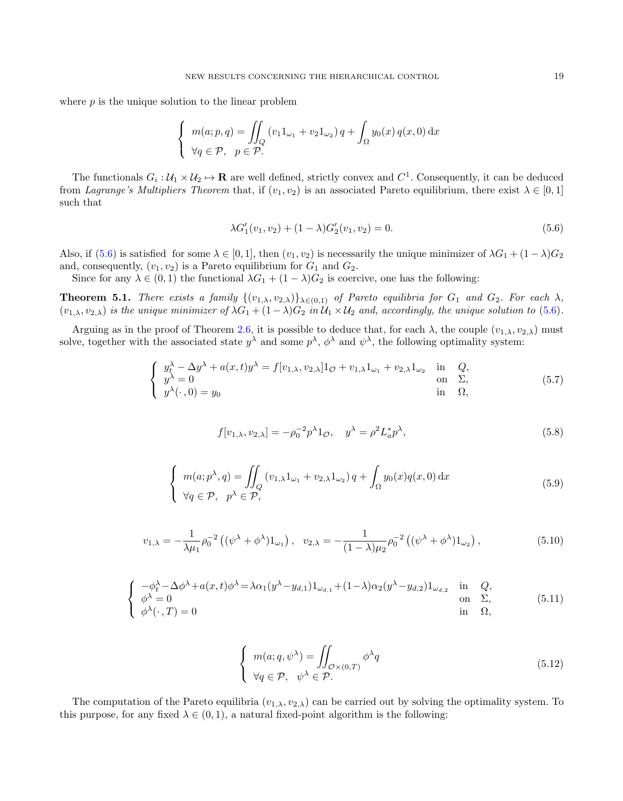where  $p$  is the unique solution to the linear problem

$$
\begin{cases}\n m(a; p, q) = \iint_Q (v_1 1_{\omega_1} + v_2 1_{\omega_2}) q + \int_\Omega y_0(x) q(x, 0) dx \\
 \forall q \in \mathcal{P}, \quad p \in \mathcal{P}.\n\end{cases}
$$

The functionals  $G_i: \mathcal{U}_1 \times \mathcal{U}_2 \mapsto \mathbf{R}$  are well defined, strictly convex and  $C^1$ . Consequently, it can be deduced from Lagrange's Multipliers Theorem that, if  $(v_1, v_2)$  is an associated Pareto equilibrium, there exist  $\lambda \in [0, 1]$ such that

<span id="page-18-0"></span>
$$
\lambda G_1'(v_1, v_2) + (1 - \lambda)G_2'(v_1, v_2) = 0.
$$
\n(5.6)

Also, if [\(5.6\)](#page-18-0) is satisfied for some  $\lambda \in [0, 1]$ , then  $(v_1, v_2)$  is necessarily the unique minimizer of  $\lambda G_1 + (1 - \lambda)G_2$ and, consequently,  $(v_1, v_2)$  is a Pareto equilibrium for  $G_1$  and  $G_2$ .

Since for any  $\lambda \in (0,1)$  the functional  $\lambda G_1 + (1 - \lambda)G_2$  is coercive, one has the following:

**Theorem 5.1.** There exists a family  $\{(v_{1,\lambda}, v_{2,\lambda})\}_{\lambda \in (0,1)}$  of Pareto equilibria for  $G_1$  and  $G_2$ . For each  $\lambda$ ,  $(v_{1,\lambda}, v_{2,\lambda})$  is the unique minimizer of  $\lambda G_1 + (1-\lambda)G_2$  in  $\mathcal{U}_1 \times \mathcal{U}_2$  and, accordingly, the unique solution to [\(5.6\)](#page-18-0).

Arguing as in the proof of Theorem [2.6,](#page-7-0) it is possible to deduce that, for each  $\lambda$ , the couple  $(v_{1,\lambda}, v_{2,\lambda})$  must solve, together with the associated state  $y^{\lambda}$  and some  $p^{\lambda}$ ,  $\phi^{\lambda}$  and  $\psi^{\lambda}$ , the following optimality system:

$$
\begin{cases}\ny_t^{\lambda} - \Delta y^{\lambda} + a(x, t)y^{\lambda} = f[v_{1, \lambda}, v_{2, \lambda}]1_{\mathcal{O}} + v_{1, \lambda}1_{\omega_1} + v_{2, \lambda}1_{\omega_2} & \text{in } Q, \\
y^{\lambda} = 0 & \text{on } \Sigma, \\
y^{\lambda}(\cdot, 0) = y_0 & \text{in } \Omega,\n\end{cases}
$$
\n(5.7)

<span id="page-18-2"></span>
$$
f[v_{1,\lambda}, v_{2,\lambda}] = -\rho_0^{-2} p^{\lambda} 1_{\mathcal{O}}, \quad y^{\lambda} = \rho^2 L_a^* p^{\lambda}, \tag{5.8}
$$

<span id="page-18-1"></span>
$$
\begin{cases}\n m(a; p^{\lambda}, q) = \iint_{Q} (v_{1,\lambda} 1_{\omega_1} + v_{2,\lambda} 1_{\omega_2}) q + \int_{\Omega} y_0(x) q(x, 0) dx \\
 \forall q \in \mathcal{P}, \quad p^{\lambda} \in \mathcal{P},\n\end{cases}
$$
\n(5.9)

<span id="page-18-5"></span>
$$
v_{1,\lambda} = -\frac{1}{\lambda \mu_1} \rho_0^{-2} \left( (\psi^\lambda + \phi^\lambda) 1_{\omega_1} \right), \quad v_{2,\lambda} = -\frac{1}{(1-\lambda)\mu_2} \rho_0^{-2} \left( (\psi^\lambda + \phi^\lambda) 1_{\omega_2} \right), \tag{5.10}
$$

<span id="page-18-3"></span>
$$
\begin{cases}\n-\phi_t^{\lambda} - \Delta \phi^{\lambda} + a(x, t)\phi^{\lambda} = \lambda \alpha_1 (y^{\lambda} - y_{d,1}) 1_{\omega_{d,1}} + (1 - \lambda) \alpha_2 (y^{\lambda} - y_{d,2}) 1_{\omega_{d,2}} & \text{in} \quad Q, \\
\phi^{\lambda} = 0 & \text{on} \quad \Sigma, \\
\phi^{\lambda}(\cdot, T) = 0 & \text{in} \quad \Omega,\n\end{cases}
$$
\n(5.11)

<span id="page-18-4"></span>
$$
\begin{cases}\n m(a;q,\psi^{\lambda}) = \iint_{\mathcal{O} \times (0,T)} \phi^{\lambda} q \\
 \forall q \in \mathcal{P}, \quad \psi^{\lambda} \in \mathcal{P}.\n\end{cases} (5.12)
$$

The computation of the Pareto equilibria  $(v_{1,\lambda}, v_{2,\lambda})$  can be carried out by solving the optimality system. To this purpose, for any fixed  $\lambda \in (0, 1)$ , a natural fixed-point algorithm is the following: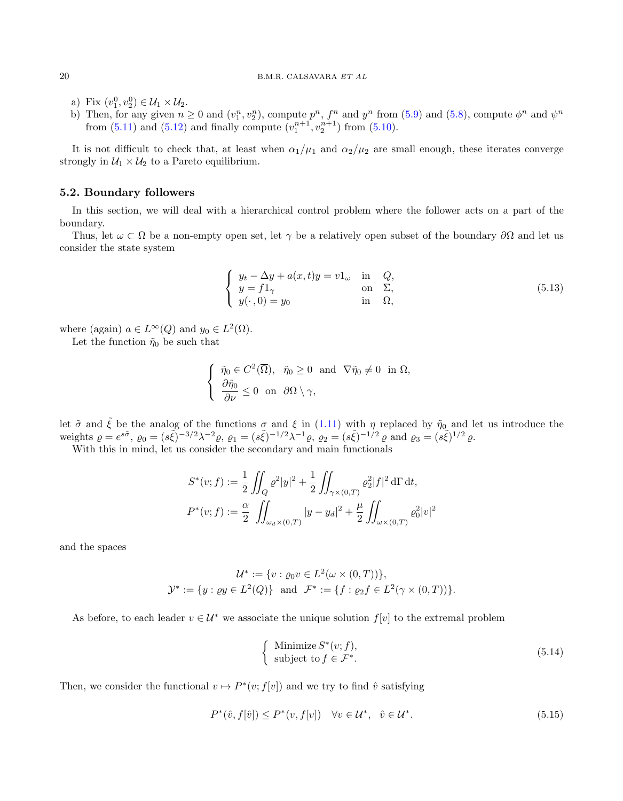- a) Fix  $(v_1^0, v_2^0) \in \mathcal{U}_1 \times \mathcal{U}_2$ .
- b) Then, for any given  $n \ge 0$  and  $(v_1^n, v_2^n)$ , compute  $p^n$ ,  $f^n$  and  $y^n$  from [\(5.9\)](#page-18-1) and [\(5.8\)](#page-18-2), compute  $\phi^n$  and  $\psi^n$ from  $(5.11)$  and  $(5.12)$  and finally compute  $(v_1^{n+1}, v_2^{n+1})$  from  $(5.10)$ .

It is not difficult to check that, at least when  $\alpha_1/\mu_1$  and  $\alpha_2/\mu_2$  are small enough, these iterates converge strongly in  $U_1 \times U_2$  to a Pareto equilibrium.

### <span id="page-19-2"></span>5.2. Boundary followers

In this section, we will deal with a hierarchical control problem where the follower acts on a part of the boundary.

Thus, let  $\omega \subset \Omega$  be a non-empty open set, let  $\gamma$  be a relatively open subset of the boundary  $\partial\Omega$  and let us consider the state system

<span id="page-19-0"></span>
$$
\begin{cases}\n y_t - \Delta y + a(x, t)y = v1_\omega & \text{in} \quad Q, \\
 y = f1_\gamma & \text{on} \quad \Sigma, \\
 y(\cdot, 0) = y_0 & \text{in} \quad \Omega,\n\end{cases}
$$
\n(5.13)

where (again)  $a \in L^{\infty}(Q)$  and  $y_0 \in L^2(\Omega)$ .

Let the function  $\tilde{\eta}_0$  be such that

$$
\begin{cases} \tilde{\eta}_0 \in C^2(\overline{\Omega}), \quad \tilde{\eta}_0 \ge 0 \quad \text{and} \quad \nabla \tilde{\eta}_0 \ne 0 \quad \text{in } \Omega, \\ \frac{\partial \tilde{\eta}_0}{\partial \nu} \le 0 \quad \text{on} \quad \partial \Omega \setminus \gamma, \end{cases}
$$

let  $\tilde{\sigma}$  and  $\tilde{\xi}$  be the analog of the functions  $\sigma$  and  $\xi$  in [\(1.11\)](#page-4-4) with  $\eta$  replaced by  $\tilde{\eta}_0$  and let us introduce the weights  $\rho = e^{s\tilde{\sigma}}, \rho_0 = (s\tilde{\xi})^{-3/2}\lambda^{-2}\rho, \rho_1 = (s\tilde{\xi})^{-1/2}\lambda^{-1}\rho, \rho_2 = (s\tilde{\xi})^{-1/2}\rho \text{ and } \rho_3 = (s\tilde{\xi})^{1/2}\rho.$ 

With this in mind, let us consider the secondary and main functionals

$$
S^*(v; f) := \frac{1}{2} \iint_Q \varrho^2 |y|^2 + \frac{1}{2} \iint_{\gamma \times (0,T)} \varrho_2^2 |f|^2 d\Gamma dt,
$$
  

$$
P^*(v; f) := \frac{\alpha}{2} \iint_{\omega_d \times (0,T)} |y - y_d|^2 + \frac{\mu}{2} \iint_{\omega \times (0,T)} \varrho_0^2 |v|^2
$$

and the spaces

$$
\mathcal{U}^* := \{ v : \varrho_0 v \in L^2(\omega \times (0,T)) \},
$$
  

$$
\mathcal{Y}^* := \{ y : \varrho y \in L^2(Q) \} \text{ and } \mathcal{F}^* := \{ f : \varrho_2 f \in L^2(\gamma \times (0,T)) \}.
$$

As before, to each leader  $v \in \mathcal{U}^*$  we associate the unique solution  $f[v]$  to the extremal problem

<span id="page-19-3"></span>
$$
\begin{cases}\n\text{Minimize } S^*(v; f),\\ \n\text{subject to } f \in \mathcal{F}^*.\n\end{cases} \tag{5.14}
$$

Then, we consider the functional  $v \mapsto P^*(v; f[v])$  and we try to find  $\hat{v}$  satisfying

<span id="page-19-1"></span>
$$
P^*(\hat{v}, f[\hat{v}]) \le P^*(v, f[v]) \quad \forall v \in \mathcal{U}^*, \quad \hat{v} \in \mathcal{U}^*.
$$
\n
$$
(5.15)
$$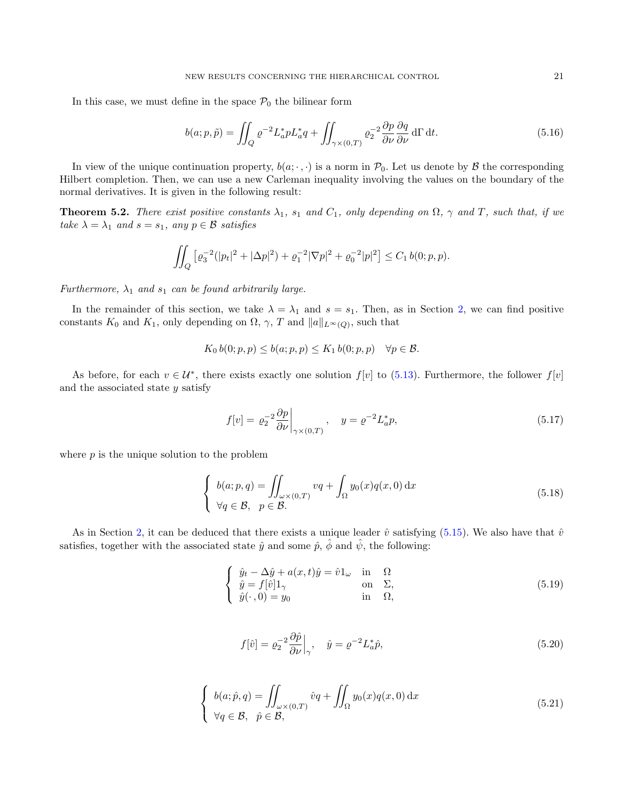In this case, we must define in the space  $P_0$  the bilinear form

$$
b(a; p, \tilde{p}) = \iint_{Q} \varrho^{-2} L_{a}^{*} p L_{a}^{*} q + \iint_{\gamma \times (0,T)} \varrho_{2}^{-2} \frac{\partial p}{\partial \nu} \frac{\partial q}{\partial \nu} d\Gamma dt.
$$
 (5.16)

In view of the unique continuation property,  $b(a; \cdot, \cdot)$  is a norm in  $\mathcal{P}_0$ . Let us denote by  $\mathcal{B}$  the corresponding Hilbert completion. Then, we can use a new Carleman inequality involving the values on the boundary of the normal derivatives. It is given in the following result:

**Theorem 5.2.** There exist positive constants  $\lambda_1$ ,  $s_1$  and  $C_1$ , only depending on  $\Omega$ ,  $\gamma$  and  $T$ , such that, if we take  $\lambda = \lambda_1$  and  $s = s_1$ , any  $p \in \mathcal{B}$  satisfies

$$
\iint_Q \left[ \varrho_3^{-2} (|p_t|^2 + |\Delta p|^2) + \varrho_1^{-2} |\nabla p|^2 + \varrho_0^{-2} |p|^2 \right] \le C_1 \, b(0; p, p).
$$

Furthermore,  $\lambda_1$  and  $s_1$  can be found arbitrarily large.

In the remainder of this section, we take  $\lambda = \lambda_1$  and  $s = s_1$ . Then, as in Section [2,](#page-5-0) we can find positive constants  $K_0$  and  $K_1$ , only depending on  $\Omega$ ,  $\gamma$ ,  $T$  and  $||a||_{L^{\infty}(Q)}$ , such that

$$
K_0 b(0; p, p) \le b(a; p, p) \le K_1 b(0; p, p) \quad \forall p \in \mathcal{B}.
$$

As before, for each  $v \in \mathcal{U}^*$ , there exists exactly one solution  $f[v]$  to [\(5.13\)](#page-19-0). Furthermore, the follower  $f[v]$ and the associated state  $y$  satisfy

$$
f[v] = \left. \varrho_2^{-2} \frac{\partial p}{\partial \nu} \right|_{\gamma \times (0,T)}, \quad y = \varrho^{-2} L_a^* p,\tag{5.17}
$$

where  $p$  is the unique solution to the problem

$$
\begin{cases}\nb(a; p, q) = \iint_{\omega \times (0, T)} vq + \int_{\Omega} y_0(x)q(x, 0) dx \\
\forall q \in \mathcal{B}, \quad p \in \mathcal{B}.\n\end{cases}
$$
\n(5.18)

As in Section [2,](#page-5-0) it can be deduced that there exists a unique leader  $\hat{v}$  satisfying [\(5.15\)](#page-19-1). We also have that  $\hat{v}$ satisfies, together with the associated state  $\hat{y}$  and some  $\hat{p}$ ,  $\hat{\phi}$  and  $\hat{\psi}$ , the following:

$$
\begin{cases}\n\hat{y}_t - \Delta \hat{y} + a(x, t)\hat{y} = \hat{v}1_\omega & \text{in} \quad \Omega \\
\hat{y} = f[\hat{v}]1_\gamma & \text{on} \quad \Sigma, \\
\hat{y}(\cdot, 0) = y_0 & \text{in} \quad \Omega,\n\end{cases}
$$
\n(5.19)

$$
f[\hat{v}] = \varrho_2^{-2} \frac{\partial \hat{p}}{\partial \nu} \Big|_{\gamma}, \quad \hat{y} = \varrho^{-2} L_a^* \hat{p}, \tag{5.20}
$$

$$
\begin{cases}\nb(a; \hat{p}, q) = \iint_{\omega \times (0,T)} \hat{v}q + \iint_{\Omega} y_0(x)q(x, 0) dx \\
\forall q \in \mathcal{B}, \quad \hat{p} \in \mathcal{B},\n\end{cases}
$$
\n(5.21)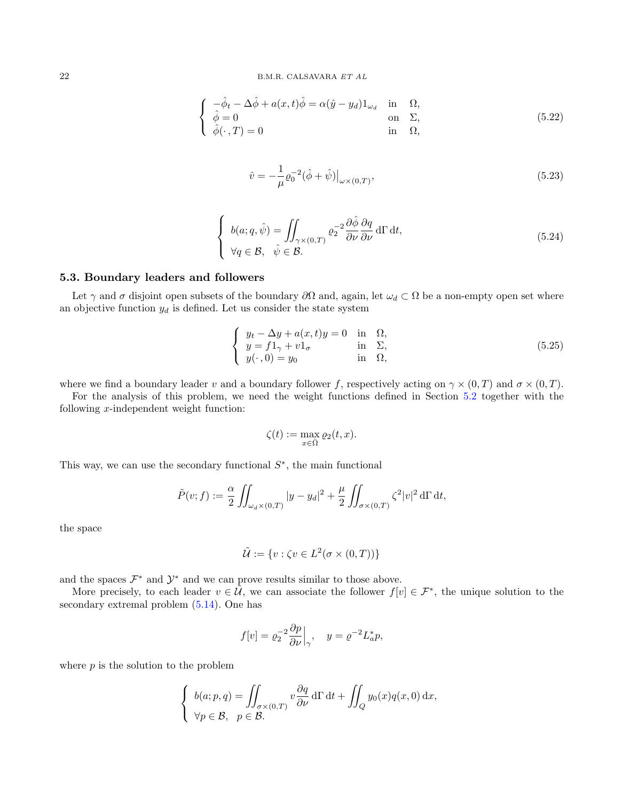$$
\begin{cases}\n-\hat{\phi}_t - \Delta \hat{\phi} + a(x, t)\hat{\phi} = \alpha(\hat{y} - y_d)1_{\omega_d} & \text{in} \quad \Omega, \\
\hat{\phi} = 0 & \text{on} \quad \Sigma, \\
\hat{\phi}(\cdot, T) = 0 & \text{in} \quad \Omega,\n\end{cases}
$$
\n(5.22)

$$
\hat{v} = -\frac{1}{\mu} \varrho_0^{-2} (\hat{\phi} + \hat{\psi}) \big|_{\omega \times (0,T)},
$$
\n(5.23)

$$
\begin{cases}\nb(a;q,\hat{\psi}) = \iint_{\gamma \times (0,T)} \varrho_2^{-2} \frac{\partial \hat{\phi}}{\partial \nu} \frac{\partial q}{\partial \nu} d\Gamma dt, \\
\forall q \in \mathcal{B}, \quad \hat{\psi} \in \mathcal{B}.\n\end{cases} (5.24)
$$

## 5.3. Boundary leaders and followers

Let  $\gamma$  and  $\sigma$  disjoint open subsets of the boundary  $\partial\Omega$  and, again, let  $\omega_d \subset \Omega$  be a non-empty open set where an objective function  $y_d$  is defined. Let us consider the state system

$$
\begin{cases}\n y_t - \Delta y + a(x, t)y = 0 & \text{in } \Omega, \\
 y = f1_\gamma + v1_\sigma & \text{in } \Sigma, \\
 y(\cdot, 0) = y_0 & \text{in } \Omega,\n\end{cases}
$$
\n(5.25)

where we find a boundary leader v and a boundary follower f, respectively acting on  $\gamma \times (0,T)$  and  $\sigma \times (0,T)$ .

For the analysis of this problem, we need the weight functions defined in Section [5.2](#page-19-2) together with the following x-independent weight function:

$$
\zeta(t) := \max_{x \in \bar{\Omega}} \varrho_2(t, x).
$$

This way, we can use the secondary functional  $S^*$ , the main functional

$$
\tilde{P}(v; f) := \frac{\alpha}{2} \iint_{\omega_d \times (0,T)} |y - y_d|^2 + \frac{\mu}{2} \iint_{\sigma \times (0,T)} \zeta^2 |v|^2 d\Gamma dt,
$$

the space

$$
\tilde{\mathcal{U}}:=\{v:\zeta v\in L^2(\sigma\times(0,T))\}
$$

and the spaces  $\mathcal{F}^*$  and  $\mathcal{Y}^*$  and we can prove results similar to those above.

More precisely, to each leader  $v \in \tilde{U}$ , we can associate the follower  $f[v] \in \mathcal{F}^*$ , the unique solution to the secondary extremal problem [\(5.14\)](#page-19-3). One has

$$
f[v] = \varrho_2^{-2} \frac{\partial p}{\partial \nu} \Big|_{\gamma}, \quad y = \varrho^{-2} L_a^* p,
$$

where  $p$  is the solution to the problem

$$
\begin{cases} b(a; p, q) = \iint_{\sigma \times (0,T)} v \frac{\partial q}{\partial \nu} d\Gamma dt + \iint_Q y_0(x) q(x, 0) dx, \\ \forall p \in \mathcal{B}, \quad p \in \mathcal{B}. \end{cases}
$$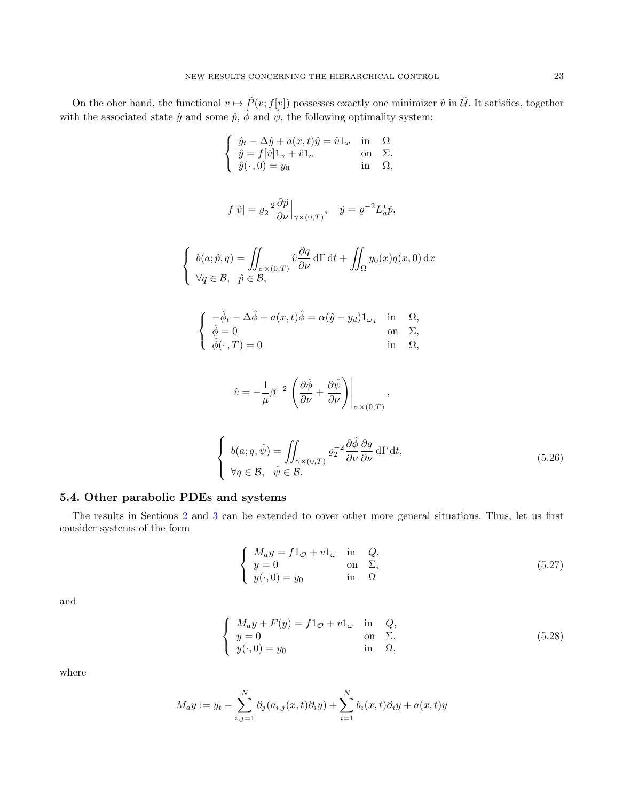On the oher hand, the functional  $v \mapsto \tilde{P}(v; f[v])$  possesses exactly one minimizer  $\hat{v}$  in  $\tilde{U}$ . It satisfies, together with the associated state  $\hat{y}$  and some  $\hat{p}$ ,  $\hat{\phi}$  and  $\hat{\psi}$ , the following optimality system:

$$
\begin{cases} \n\hat{y}_t - \Delta \hat{y} + a(x, t)\hat{y} = \hat{v}1_\omega & \text{in} \quad \Omega\\ \n\hat{y} = f[\hat{v}]1_\gamma + \hat{v}1_\sigma & \text{on} \quad \Sigma, \\ \n\hat{y}(\cdot, 0) = y_0 & \text{in} \quad \Omega, \n\end{cases}
$$

$$
f[\hat{v}] = \varrho_2^{-2} \frac{\partial \hat{p}}{\partial \nu} \Big|_{\gamma \times (0,T)}, \quad \hat{y} = \varrho^{-2} L_a^* \hat{p},
$$

$$
\begin{cases} b(a; \hat{p}, q) = \iint_{\sigma \times (0,T)} \hat{v} \frac{\partial q}{\partial \nu} d\Gamma dt + \iint_{\Omega} y_0(x) q(x, 0) dx \\ \forall q \in \mathcal{B}, \quad \hat{p} \in \mathcal{B}, \end{cases}
$$

$$
\begin{cases}\n-\hat{\phi}_t - \Delta \hat{\phi} + a(x, t)\hat{\phi} = \alpha(\hat{y} - y_d)1_{\omega_d} & \text{in} \quad \Omega, \\
\hat{\phi} = 0 & \text{on} \quad \Sigma, \\
\hat{\phi}(\cdot, T) = 0 & \text{in} \quad \Omega,\n\end{cases}
$$

$$
\hat{v} = -\frac{1}{\mu}\beta^{-2}\left(\frac{\partial\hat{\phi}}{\partial\nu} + \frac{\partial\hat{\psi}}{\partial\nu}\right)\bigg|_{\sigma \times (0,T)},
$$

$$
\begin{cases}\nb(a;q,\hat{\psi}) = \iint_{\gamma \times (0,T)} \varrho_2^{-2} \frac{\partial \hat{\phi}}{\partial \nu} \frac{\partial q}{\partial \nu} d\Gamma dt, \\
\forall q \in \mathcal{B}, \quad \hat{\psi} \in \mathcal{B}.\n\end{cases} (5.26)
$$

# <span id="page-22-0"></span>5.4. Other parabolic PDEs and systems

The results in Sections [2](#page-5-0) and [3](#page-9-1) can be extended to cover other more general situations. Thus, let us first consider systems of the form

<span id="page-22-1"></span>
$$
\begin{cases}\nM_a y = f 1_{\mathcal{O}} + v 1_{\omega} & \text{in} \quad Q, \\
y = 0 & \text{on} \quad \Sigma, \\
y(\cdot, 0) = y_0 & \text{in} \quad \Omega\n\end{cases}
$$
\n(5.27)

and

<span id="page-22-2"></span>
$$
\begin{cases}\nM_a y + F(y) = f1_{\mathcal{O}} + v1_{\omega} & \text{in} \quad Q, \\
y = 0 & \text{on} \quad \Sigma, \\
y(\cdot, 0) = y_0 & \text{in} \quad \Omega,\n\end{cases}
$$
\n(5.28)

where

$$
M_ay := y_t - \sum_{i,j=1}^N \partial_j(a_{i,j}(x,t)\partial_i y) + \sum_{i=1}^N b_i(x,t)\partial_i y + a(x,t)y
$$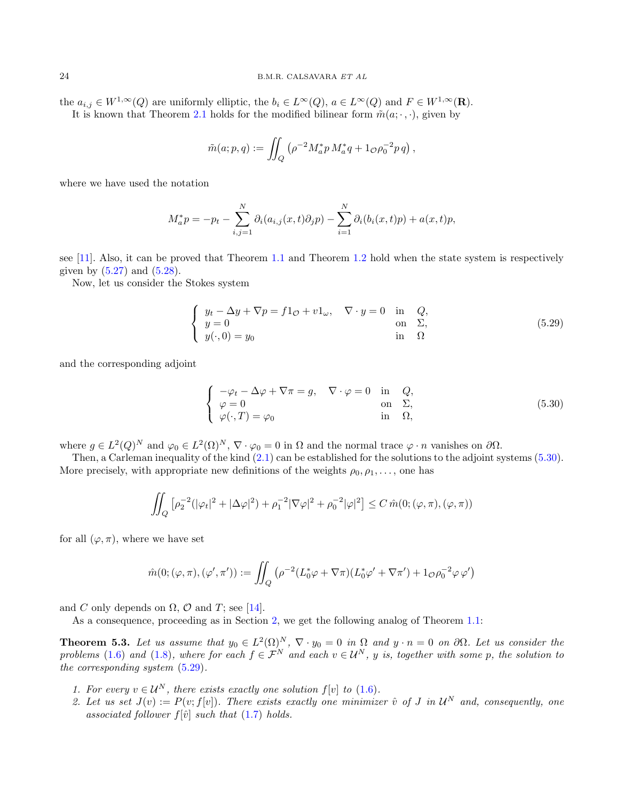the  $a_{i,j} \in W^{1,\infty}(Q)$  are uniformly elliptic, the  $b_i \in L^{\infty}(Q)$ ,  $a \in L^{\infty}(Q)$  and  $F \in W^{1,\infty}(\mathbf{R})$ . It is known that Theorem [2.1](#page-6-3) holds for the modified bilinear form  $\tilde{m}(a; \cdot, \cdot)$ , given by

$$
\tilde{m}(a; p, q) := \iint_Q \left( \rho^{-2} M_a^* p \, M_a^* q + 1_{\mathcal{O}} \rho_0^{-2} p \, q \right),
$$

where we have used the notation

$$
M_a^* p = -p_t - \sum_{i,j=1}^N \partial_i (a_{i,j}(x,t)\partial_j p) - \sum_{i=1}^N \partial_i (b_i(x,t)p) + a(x,t)p,
$$

see [\[11\]](#page-24-12). Also, it can be proved that Theorem [1.1](#page-4-2) and Theorem [1.2](#page-5-1) hold when the state system is respectively given by  $(5.27)$  and  $(5.28)$ .

Now, let us consider the Stokes system

<span id="page-23-2"></span>
$$
\begin{cases}\n y_t - \Delta y + \nabla p = f 1_{\mathcal{O}} + v 1_{\omega}, & \nabla \cdot y = 0 \text{ in } Q, \\
 y = 0 & \text{on } \Sigma, \\
 y(\cdot, 0) = y_0 & \text{in } \Omega\n\end{cases}
$$
\n(5.29)

and the corresponding adjoint

<span id="page-23-1"></span>
$$
\begin{cases}\n-\varphi_t - \Delta \varphi + \nabla \pi = g, & \nabla \cdot \varphi = 0 \text{ in } Q, \\
\varphi = 0 & \text{on } \Sigma, \\
\varphi(\cdot, T) = \varphi_0 & \text{in } \Omega,\n\end{cases}
$$
\n(5.30)

where  $g \in L^2(Q)^N$  and  $\varphi_0 \in L^2(\Omega)^N$ ,  $\nabla \cdot \varphi_0 = 0$  in  $\Omega$  and the normal trace  $\varphi \cdot n$  vanishes on  $\partial \Omega$ .

Then, a Carleman inequality of the kind  $(2.1)$  can be established for the solutions to the adjoint systems  $(5.30)$ . More precisely, with appropriate new definitions of the weights  $\rho_0, \rho_1, \ldots$ , one has

$$
\iint_Q \left[ \rho_2^{-2} (|\varphi_t|^2 + |\Delta \varphi|^2) + \rho_1^{-2} |\nabla \varphi|^2 + \rho_0^{-2} |\varphi|^2 \right] \le C \, \hat{m}(0; (\varphi, \pi), (\varphi, \pi))
$$

for all  $(\varphi, \pi)$ , where we have set

$$
\hat{m}(0; (\varphi, \pi), (\varphi', \pi')) := \iint_Q (\rho^{-2}(L_0^* \varphi + \nabla \pi)(L_0^* \varphi' + \nabla \pi') + 1_{\mathcal{O}} \rho_0^{-2} \varphi \varphi')
$$

and C only depends on  $\Omega$ ,  $\mathcal O$  and T; see [\[14\]](#page-24-17).

As a consequence, proceeding as in Section [2,](#page-5-0) we get the following analog of Theorem [1.1:](#page-4-2)

<span id="page-23-0"></span>**Theorem 5.3.** Let us assume that  $y_0 \in L^2(\Omega)^N$ ,  $\nabla \cdot y_0 = 0$  in  $\Omega$  and  $y \cdot n = 0$  on  $\partial \Omega$ . Let us consider the problems [\(1.6\)](#page-2-1) and [\(1.8\)](#page-2-2), where for each  $f \in \mathcal{F}^N$  and each  $v \in \mathcal{U}^N$ , y is, together with some p, the solution to the corresponding system [\(5.29\)](#page-23-2).

- 1. For every  $v \in \mathcal{U}^N$ , there exists exactly one solution  $f[v]$  to [\(1.6\)](#page-2-1).
- 2. Let us set  $J(v) := P(v; f[v])$ . There exists exactly one minimizer  $\hat{v}$  of J in  $\mathcal{U}^N$  and, consequently, one associated follower  $f[\hat{v}]$  such that [\(1.7\)](#page-2-3) holds.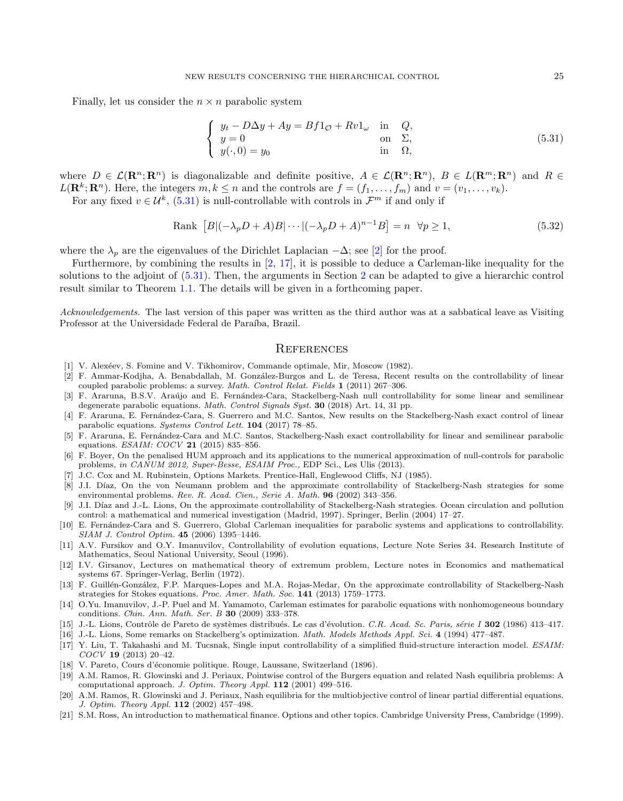Finally, let us consider the  $n \times n$  parabolic system

<span id="page-24-18"></span>
$$
\begin{cases}\n y_t - D\Delta y + Ay = Bf1_{\mathcal{O}} + Rv1_{\omega} & \text{in} \quad Q, \\
 y = 0 & \text{on} \quad \Sigma, \\
 y(\cdot, 0) = y_0 & \text{in} \quad \Omega,\n\end{cases}
$$
\n(5.31)

where  $D \in \mathcal{L}(\mathbf{R}^n;\mathbf{R}^n)$  is diagonalizable and definite positive,  $A \in \mathcal{L}(\mathbf{R}^n;\mathbf{R}^n)$ ,  $B \in L(\mathbf{R}^m;\mathbf{R}^n)$  and  $R \in$  $L(\mathbf{R}^k;\mathbf{R}^n)$ . Here, the integers  $m, k \leq n$  and the controls are  $f = (f_1, \ldots, f_m)$  and  $v = (v_1, \ldots, v_k)$ .

For any fixed  $v \in \mathcal{U}^k$ , [\(5.31\)](#page-24-18) is null-controllable with controls in  $\mathcal{F}^m$  if and only if

Rank 
$$
[B|(-\lambda_p D + A)B| \cdots |(-\lambda_p D + A)^{n-1}B] = n \quad \forall p \ge 1,
$$
\n
$$
(5.32)
$$

where the  $\lambda_p$  are the eigenvalues of the Dirichlet Laplacian  $-\Delta$ ; see [\[2\]](#page-24-19) for the proof.

Furthermore, by combining the results in [\[2,](#page-24-19) [17\]](#page-24-20), it is possible to deduce a Carleman-like inequality for the solutions to the adjoint of [\(5.31\)](#page-24-18). Then, the arguments in Section [2](#page-5-0) can be adapted to give a hierarchic control result similar to Theorem [1.1.](#page-4-2) The details will be given in a forthcoming paper.

Acknowledgements. The last version of this paper was written as the third author was at a sabbatical leave as Visiting Professor at the Universidade Federal de Paraíba, Brazil.

# **REFERENCES**

- <span id="page-24-14"></span>[1] V. Alexéev, S. Fomine and V. Tikhomirov, Commande optimale, Mir, Moscow (1982).
- <span id="page-24-19"></span>[2] F. Ammar-Kodjha, A. Benabdallah, M. González-Burgos and L. de Teresa, Recent results on the controllability of linear coupled parabolic problems: a survey. Math. Control Relat. Fields 1 (2011) 267–306.
- <span id="page-24-7"></span>[3] F. Araruna, B.S.V. Araújo and E. Fernández-Cara, Stackelberg-Nash null controllability for some linear and semilinear degenerate parabolic equations. Math. Control Signals Syst. 30 (2018) Art. 14, 31 pp.
- [4] F. Araruna, E. Fernández-Cara, S. Guerrero and M.C. Santos, New results on the Stackelberg-Nash exact control of linear parabolic equations. Systems Control Lett. 104 (2017) 78–85.
- <span id="page-24-8"></span>[5] F. Araruna, E. Fern´andez-Cara and M.C. Santos, Stackelberg-Nash exact controllability for linear and semilinear parabolic equations. *ESAIM: COCV* **21** (2015) 835-856.
- <span id="page-24-9"></span>[6] F. Boyer, On the penalised HUM approach and its applications to the numerical approximation of null-controls for parabolic problems, in CANUM 2012, Super-Besse, ESAIM Proc., EDP Sci., Les Ulis (2013).
- <span id="page-24-10"></span>[7] J.C. Cox and M. Rubinstein, Options Markets. Prentice-Hall, Englewood Cliffs, NJ (1985).
- <span id="page-24-3"></span>[8] J.I. Díaz, On the von Neumann problem and the approximate controllability of Stackelberg-Nash strategies for some environmental problems. Rev. R. Acad. Cien., Serie A. Math. 96 (2002) 343–356.
- <span id="page-24-2"></span>[9] J.I. Díaz and J.-L. Lions, On the approximate controllability of Stackelberg-Nash strategies. Ocean circulation and pollution control: a mathematical and numerical investigation (Madrid, 1997). Springer, Berlin (2004) 17–27.
- <span id="page-24-13"></span>[10] E. Fernández-Cara and S. Guerrero, Global Carleman inequalities for parabolic systems and applications to controllability. SIAM J. Control Optim. 45 (2006) 1395–1446.
- <span id="page-24-12"></span>[11] A.V. Fursikov and O.Y. Imanuvilov, Controllability of evolution equations, Lecture Note Series 34. Research Institute of Mathematics, Seoul National University, Seoul (1996).
- <span id="page-24-15"></span>[12] I.V. Girsanov, Lectures on mathematical theory of extremum problem, Lecture notes in Economics and mathematical systems 67. Springer-Verlag, Berlin (1972).
- <span id="page-24-6"></span>[13] F. Guillén-González, F.P. Marques-Lopes and M.A. Rojas-Medar, On the approximate controllability of Stackelberg-Nash strategies for Stokes equations. Proc. Amer. Math. Soc. 141 (2013) 1759–1773.
- <span id="page-24-17"></span>[14] O.Yu. Imanuvilov, J.-P. Puel and M. Yamamoto, Carleman estimates for parabolic equations with nonhomogeneous boundary conditions. Chin. Ann. Math. Ser. B 30 (2009) 333–378.
- <span id="page-24-0"></span>[15] J.-L. Lions, Contrôle de Pareto de systèmes distribués. Le cas d'évolution. C.R. Acad. Sc. Paris, série I 302 (1986) 413–417.
- <span id="page-24-1"></span>[16] J.-L. Lions, Some remarks on Stackelberg's optimization. Math. Models Methods Appl. Sci. 4 (1994) 477–487.
- <span id="page-24-20"></span>[17] Y. Liu, T. Takahashi and M. Tucsnak, Single input controllability of a simplified fluid-structure interaction model. ESAIM: COCV 19 (2013) 20–42.
- <span id="page-24-16"></span>[18] V. Pareto, Cours d'économie politique. Rouge, Laussane, Switzerland (1896).
- <span id="page-24-4"></span>[19] A.M. Ramos, R. Glowinski and J. Periaux, Pointwise control of the Burgers equation and related Nash equilibria problems: A computational approach. J. Optim. Theory Appl. 112 (2001) 499–516.
- <span id="page-24-5"></span>[20] A.M. Ramos, R. Glowinski and J. Periaux, Nash equilibria for the multiobjective control of linear partial differential equations. J. Optim. Theory Appl. 112 (2002) 457–498.
- <span id="page-24-11"></span>[21] S.M. Ross, An introduction to mathematical finance. Options and other topics. Cambridge University Press, Cambridge (1999).